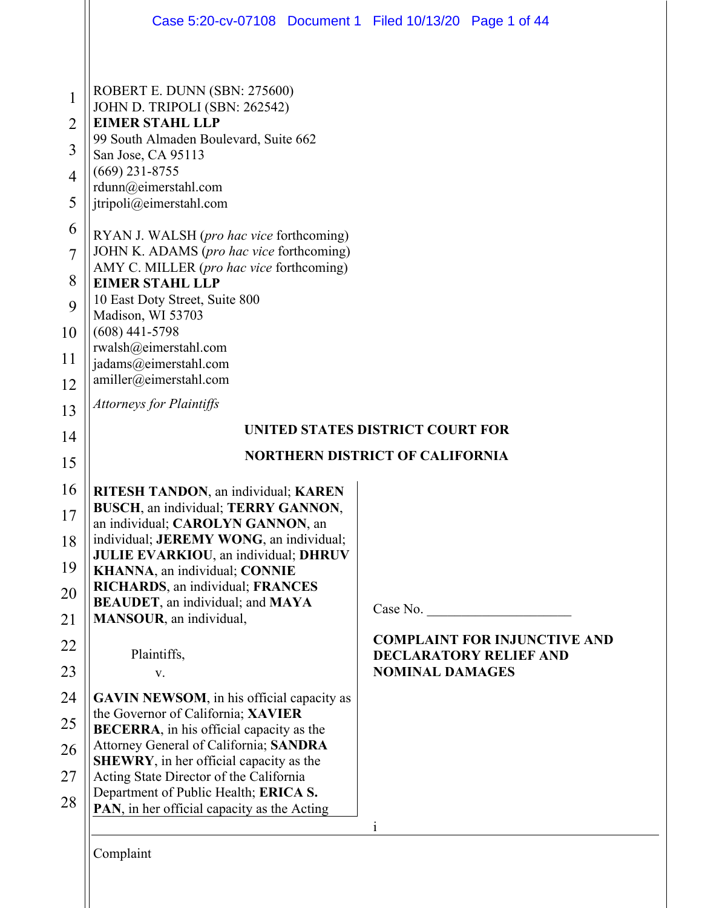|                                                                                                                                 | Case 5:20-cv-07108 Document 1 Filed 10/13/20 Page 1 of 44                                                                                                                                                                                                                                                                                                                                                                                                                                                                                                                             |                                                                      |  |  |
|---------------------------------------------------------------------------------------------------------------------------------|---------------------------------------------------------------------------------------------------------------------------------------------------------------------------------------------------------------------------------------------------------------------------------------------------------------------------------------------------------------------------------------------------------------------------------------------------------------------------------------------------------------------------------------------------------------------------------------|----------------------------------------------------------------------|--|--|
| $\mathbf 1$<br>$\overline{2}$<br>$\overline{3}$<br>$\overline{4}$<br>5<br>6<br>$\overline{7}$<br>8<br>9<br>10<br>11<br>12<br>13 | ROBERT E. DUNN (SBN: 275600)<br>JOHN D. TRIPOLI (SBN: 262542)<br><b>EIMER STAHL LLP</b><br>99 South Almaden Boulevard, Suite 662<br>San Jose, CA 95113<br>$(669)$ 231-8755<br>rdunn@eimerstahl.com<br>jtripoli@eimerstahl.com<br>RYAN J. WALSH (pro hac vice forthcoming)<br>JOHN K. ADAMS (pro hac vice forthcoming)<br>AMY C. MILLER (pro hac vice forthcoming)<br><b>EIMER STAHL LLP</b><br>10 East Doty Street, Suite 800<br>Madison, WI 53703<br>$(608)$ 441-5798<br>rwalsh@eimerstahl.com<br>jadams@eimerstahl.com<br>amiller@eimerstahl.com<br><b>Attorneys for Plaintiffs</b> |                                                                      |  |  |
|                                                                                                                                 |                                                                                                                                                                                                                                                                                                                                                                                                                                                                                                                                                                                       | UNITED STATES DISTRICT COURT FOR                                     |  |  |
| 14                                                                                                                              | <b>NORTHERN DISTRICT OF CALIFORNIA</b>                                                                                                                                                                                                                                                                                                                                                                                                                                                                                                                                                |                                                                      |  |  |
| 15                                                                                                                              |                                                                                                                                                                                                                                                                                                                                                                                                                                                                                                                                                                                       |                                                                      |  |  |
| 16                                                                                                                              | RITESH TANDON, an individual; KAREN<br>BUSCH, an individual; TERRY GANNON,                                                                                                                                                                                                                                                                                                                                                                                                                                                                                                            |                                                                      |  |  |
| 17                                                                                                                              | an individual; CAROLYN GANNON, an<br>individual; JEREMY WONG, an individual;                                                                                                                                                                                                                                                                                                                                                                                                                                                                                                          |                                                                      |  |  |
| 18<br>19                                                                                                                        | JULIE EVARKIOU, an individual; DHRUV<br>KHANNA, an individual; CONNIE                                                                                                                                                                                                                                                                                                                                                                                                                                                                                                                 |                                                                      |  |  |
| 20                                                                                                                              | <b>RICHARDS</b> , an individual; FRANCES<br>BEAUDET, an individual; and MAYA                                                                                                                                                                                                                                                                                                                                                                                                                                                                                                          |                                                                      |  |  |
| 21                                                                                                                              | MANSOUR, an individual,                                                                                                                                                                                                                                                                                                                                                                                                                                                                                                                                                               | Case No.                                                             |  |  |
| 22                                                                                                                              | Plaintiffs,                                                                                                                                                                                                                                                                                                                                                                                                                                                                                                                                                                           | <b>COMPLAINT FOR INJUNCTIVE AND</b><br><b>DECLARATORY RELIEF AND</b> |  |  |
| 23                                                                                                                              | V.                                                                                                                                                                                                                                                                                                                                                                                                                                                                                                                                                                                    | <b>NOMINAL DAMAGES</b>                                               |  |  |
| 24                                                                                                                              | <b>GAVIN NEWSOM</b> , in his official capacity as                                                                                                                                                                                                                                                                                                                                                                                                                                                                                                                                     |                                                                      |  |  |
| 25                                                                                                                              | the Governor of California; XAVIER<br>BECERRA, in his official capacity as the                                                                                                                                                                                                                                                                                                                                                                                                                                                                                                        |                                                                      |  |  |
| 26                                                                                                                              | Attorney General of California; SANDRA                                                                                                                                                                                                                                                                                                                                                                                                                                                                                                                                                |                                                                      |  |  |
| 27                                                                                                                              | <b>SHEWRY</b> , in her official capacity as the<br>Acting State Director of the California                                                                                                                                                                                                                                                                                                                                                                                                                                                                                            |                                                                      |  |  |
| 28                                                                                                                              | Department of Public Health; ERICA S.<br>PAN, in her official capacity as the Acting                                                                                                                                                                                                                                                                                                                                                                                                                                                                                                  |                                                                      |  |  |
|                                                                                                                                 |                                                                                                                                                                                                                                                                                                                                                                                                                                                                                                                                                                                       | $\mathbf{1}$                                                         |  |  |
|                                                                                                                                 |                                                                                                                                                                                                                                                                                                                                                                                                                                                                                                                                                                                       |                                                                      |  |  |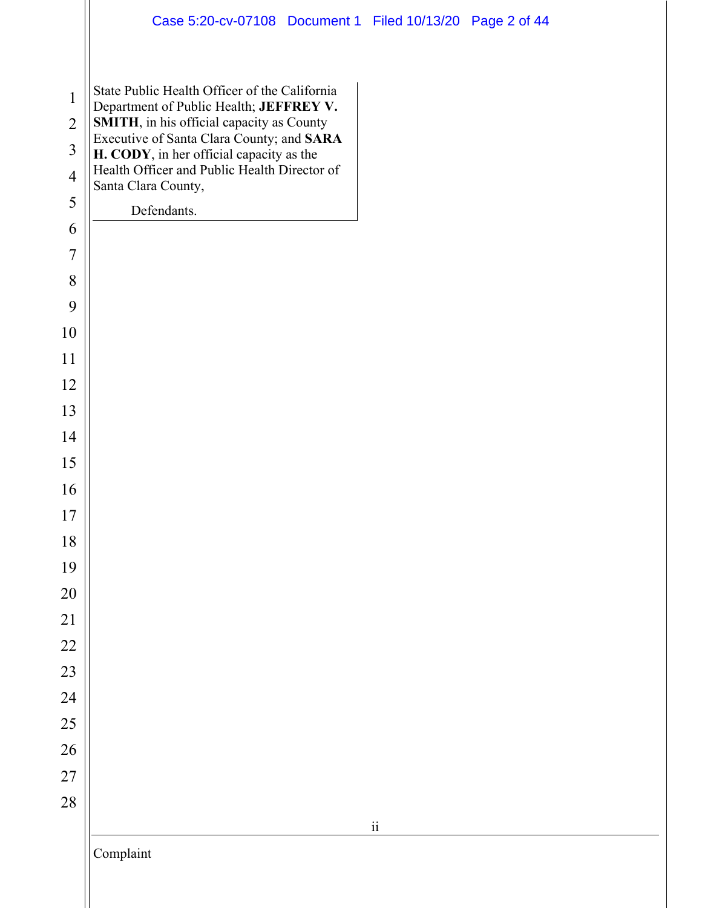|                                | Case 5:20-cv-07108 Document 1 Filed 10/13/20 Page 2 of 44                                                                             |
|--------------------------------|---------------------------------------------------------------------------------------------------------------------------------------|
| $\mathbf{1}$<br>$\overline{2}$ | State Public Health Officer of the California<br>Department of Public Health; JEFFREY V.<br>SMITH, in his official capacity as County |
| $\overline{3}$                 | Executive of Santa Clara County; and SARA                                                                                             |
| $\overline{4}$                 | H. CODY, in her official capacity as the<br>Health Officer and Public Health Director of                                              |
| 5                              | Santa Clara County,                                                                                                                   |
| 6                              | Defendants.                                                                                                                           |
| $\overline{7}$                 |                                                                                                                                       |
| 8                              |                                                                                                                                       |
| 9                              |                                                                                                                                       |
| 10                             |                                                                                                                                       |
| 11                             |                                                                                                                                       |
| 12                             |                                                                                                                                       |
| 13                             |                                                                                                                                       |
| 14                             |                                                                                                                                       |
| 15                             |                                                                                                                                       |
| 16                             |                                                                                                                                       |
| 17                             |                                                                                                                                       |
| 18                             |                                                                                                                                       |
| 19                             |                                                                                                                                       |
| 20                             |                                                                                                                                       |
| 21<br>22                       |                                                                                                                                       |
| 23                             |                                                                                                                                       |
| 24                             |                                                                                                                                       |
| 25                             |                                                                                                                                       |
| 26                             |                                                                                                                                       |
| 27                             |                                                                                                                                       |
| 28                             |                                                                                                                                       |
|                                | $\rm ii$                                                                                                                              |
|                                | Complaint                                                                                                                             |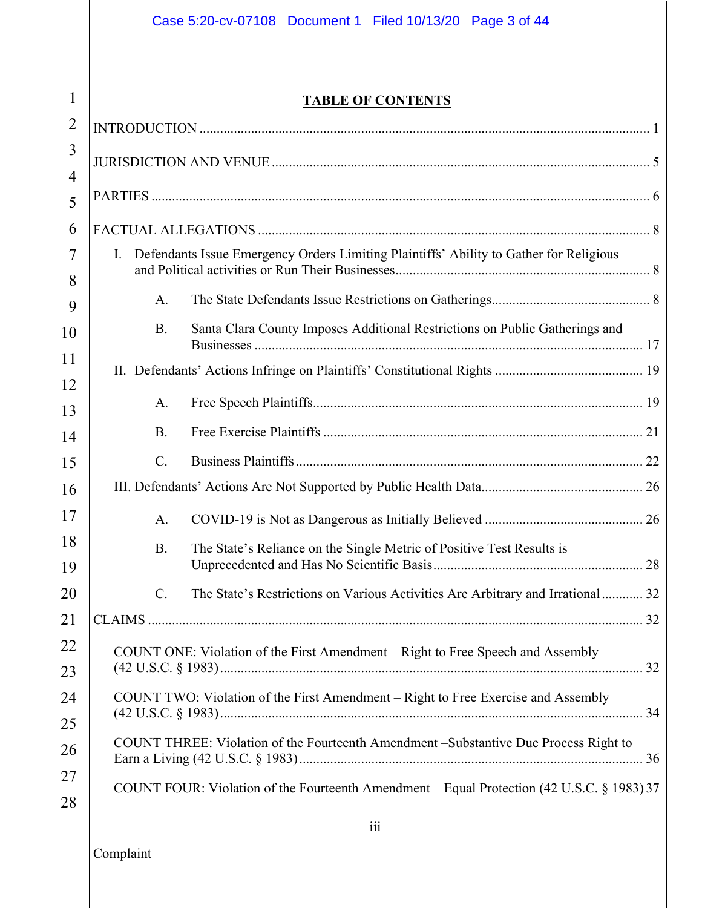# **TABLE OF CONTENTS**

| $\overline{2}$ |                                                                                              |  |  |
|----------------|----------------------------------------------------------------------------------------------|--|--|
| 3              |                                                                                              |  |  |
| 4<br>5         |                                                                                              |  |  |
| 6              |                                                                                              |  |  |
| 7              | Defendants Issue Emergency Orders Limiting Plaintiffs' Ability to Gather for Religious<br>I. |  |  |
| 8              |                                                                                              |  |  |
| 9              | A.                                                                                           |  |  |
| 10             | Santa Clara County Imposes Additional Restrictions on Public Gatherings and<br><b>B.</b>     |  |  |
| 11             |                                                                                              |  |  |
| 12<br>13       | A.                                                                                           |  |  |
| 14             | <b>B.</b>                                                                                    |  |  |
| 15             | $\mathcal{C}$ .                                                                              |  |  |
| 16             |                                                                                              |  |  |
| 17             | A.                                                                                           |  |  |
| 18             | The State's Reliance on the Single Metric of Positive Test Results is<br><b>B.</b>           |  |  |
| 19             |                                                                                              |  |  |
| 20             | C.<br>The State's Restrictions on Various Activities Are Arbitrary and Irrational 32         |  |  |
| 21             |                                                                                              |  |  |
| 22             | COUNT ONE: Violation of the First Amendment - Right to Free Speech and Assembly              |  |  |
| 23             |                                                                                              |  |  |
| 24             | COUNT TWO: Violation of the First Amendment – Right to Free Exercise and Assembly            |  |  |
| 25             |                                                                                              |  |  |
| 26             | COUNT THREE: Violation of the Fourteenth Amendment -Substantive Due Process Right to         |  |  |
| 27             | COUNT FOUR: Violation of the Fourteenth Amendment – Equal Protection (42 U.S.C. § 1983) 37   |  |  |
| 28             |                                                                                              |  |  |
|                | iii                                                                                          |  |  |

Complaint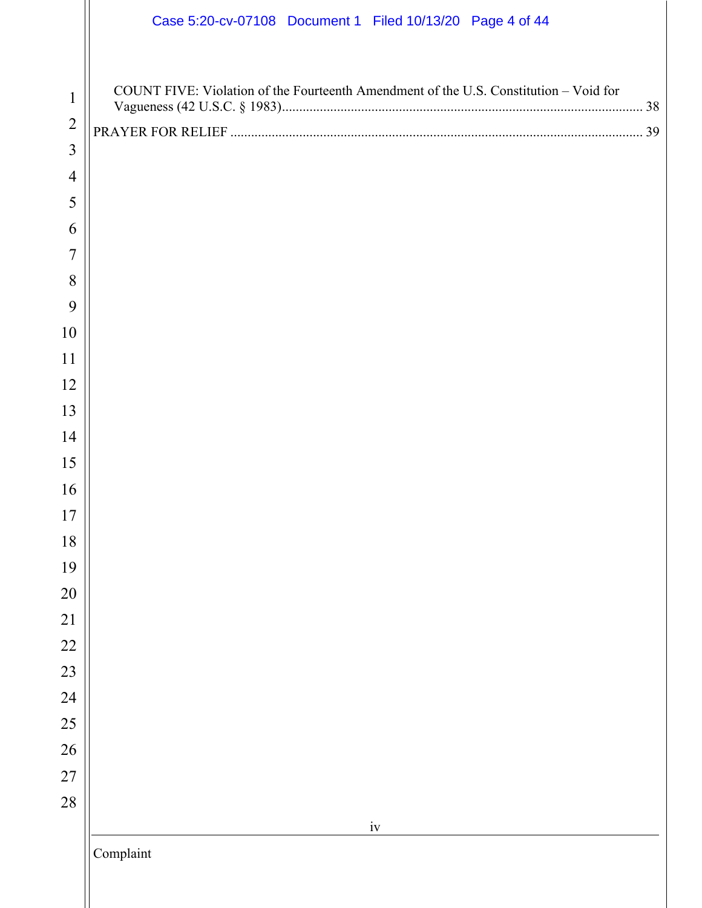|                | Case 5:20-cv-07108 Document 1 Filed 10/13/20 Page 4 of 44                             |
|----------------|---------------------------------------------------------------------------------------|
| $\mathbf{1}$   | COUNT FIVE: Violation of the Fourteenth Amendment of the U.S. Constitution - Void for |
| $\overline{2}$ |                                                                                       |
| $\overline{3}$ |                                                                                       |
| $\overline{4}$ |                                                                                       |
| 5              |                                                                                       |
| 6              |                                                                                       |
| 7              |                                                                                       |
| 8              |                                                                                       |
| 9              |                                                                                       |
| 10             |                                                                                       |
| 11             |                                                                                       |
| 12             |                                                                                       |
| 13             |                                                                                       |
| 14             |                                                                                       |
| 15             |                                                                                       |
| 16             |                                                                                       |
| $17\,$         |                                                                                       |
| $18\,$<br>19   |                                                                                       |
| 20             |                                                                                       |
| 21             |                                                                                       |
| 22             |                                                                                       |
| 23             |                                                                                       |
| 24             |                                                                                       |
| 25             |                                                                                       |
| 26             |                                                                                       |
| 27             |                                                                                       |
| 28             |                                                                                       |
|                | $\mathrm{i} \mathrm{v}$                                                               |
|                | Complaint                                                                             |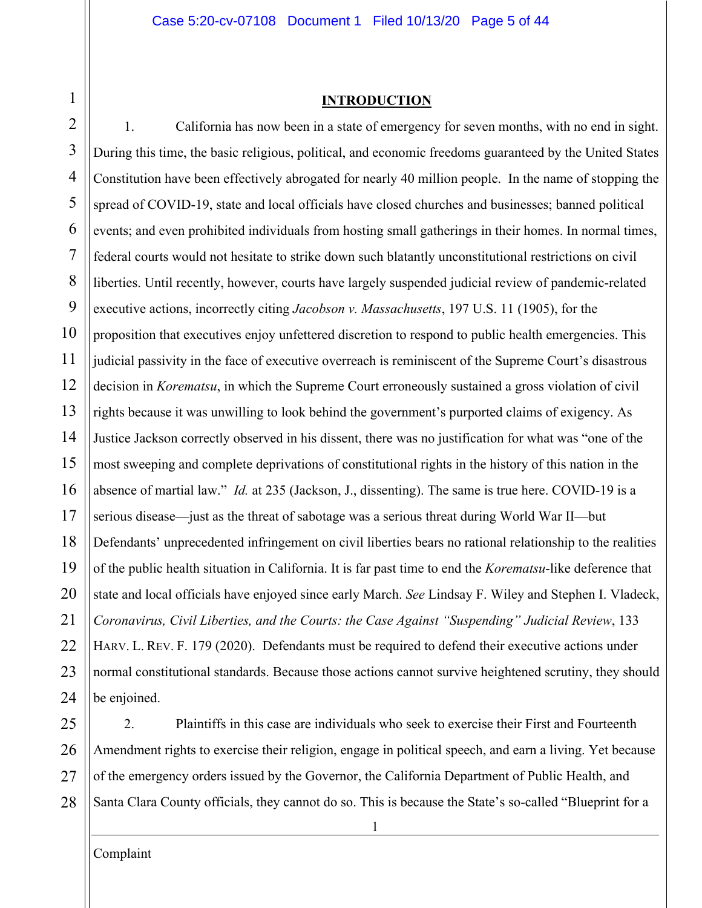#### Case 5:20-cv-07108 Document 1 Filed 10/13/20 Page 5 of 44

#### **INTRODUCTION**

2 3 4 5 6 7 8 9 10 11 12 13 14 15 16 17 18 19 20 21 22 23 24 1. California has now been in a state of emergency for seven months, with no end in sight. During this time, the basic religious, political, and economic freedoms guaranteed by the United States Constitution have been effectively abrogated for nearly 40 million people. In the name of stopping the spread of COVID-19, state and local officials have closed churches and businesses; banned political events; and even prohibited individuals from hosting small gatherings in their homes. In normal times, federal courts would not hesitate to strike down such blatantly unconstitutional restrictions on civil liberties. Until recently, however, courts have largely suspended judicial review of pandemic-related executive actions, incorrectly citing *Jacobson v. Massachusetts*, 197 U.S. 11 (1905), for the proposition that executives enjoy unfettered discretion to respond to public health emergencies. This judicial passivity in the face of executive overreach is reminiscent of the Supreme Court's disastrous decision in *Korematsu*, in which the Supreme Court erroneously sustained a gross violation of civil rights because it was unwilling to look behind the government's purported claims of exigency. As Justice Jackson correctly observed in his dissent, there was no justification for what was "one of the most sweeping and complete deprivations of constitutional rights in the history of this nation in the absence of martial law." *Id.* at 235 (Jackson, J., dissenting). The same is true here. COVID-19 is a serious disease—just as the threat of sabotage was a serious threat during World War II—but Defendants' unprecedented infringement on civil liberties bears no rational relationship to the realities of the public health situation in California. It is far past time to end the *Korematsu*-like deference that state and local officials have enjoyed since early March. *See* Lindsay F. Wiley and Stephen I. Vladeck, *Coronavirus, Civil Liberties, and the Courts: the Case Against "Suspending" Judicial Review*, 133 HARV. L. REV. F. 179 (2020). Defendants must be required to defend their executive actions under normal constitutional standards. Because those actions cannot survive heightened scrutiny, they should be enjoined.

25 26 27 28 2. Plaintiffs in this case are individuals who seek to exercise their First and Fourteenth Amendment rights to exercise their religion, engage in political speech, and earn a living. Yet because of the emergency orders issued by the Governor, the California Department of Public Health, and Santa Clara County officials, they cannot do so. This is because the State's so-called "Blueprint for a

Complaint

<span id="page-4-0"></span>1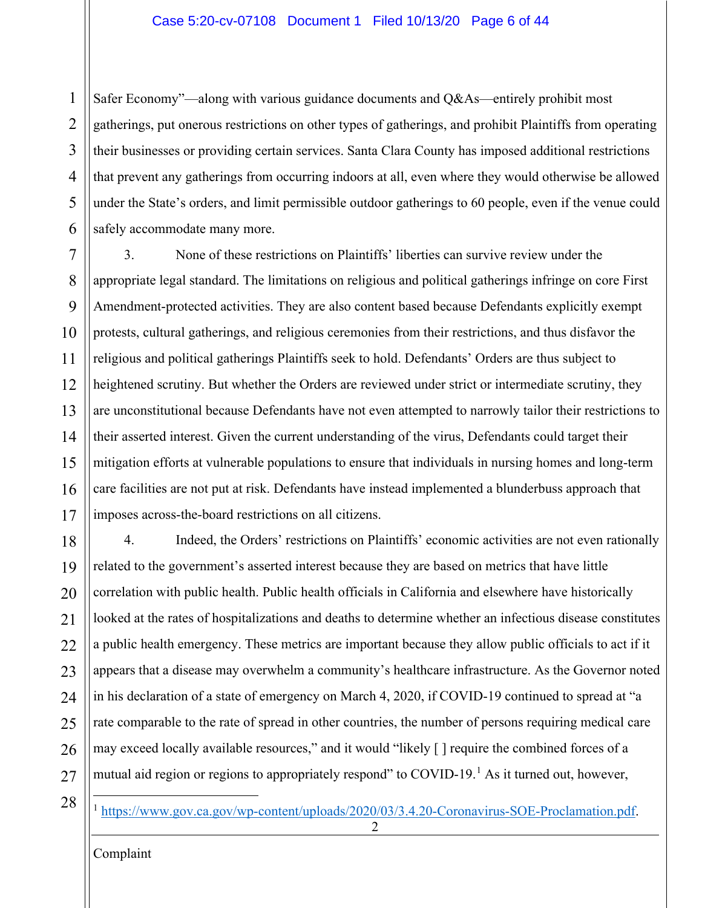1 2 3 4 5 6 Safer Economy"—along with various guidance documents and Q&As—entirely prohibit most gatherings, put onerous restrictions on other types of gatherings, and prohibit Plaintiffs from operating their businesses or providing certain services. Santa Clara County has imposed additional restrictions that prevent any gatherings from occurring indoors at all, even where they would otherwise be allowed under the State's orders, and limit permissible outdoor gatherings to 60 people, even if the venue could safely accommodate many more.

7 8  $\mathbf Q$ 10 11 12 13 14 15 16 17 3. None of these restrictions on Plaintiffs' liberties can survive review under the appropriate legal standard. The limitations on religious and political gatherings infringe on core First Amendment-protected activities. They are also content based because Defendants explicitly exempt protests, cultural gatherings, and religious ceremonies from their restrictions, and thus disfavor the religious and political gatherings Plaintiffs seek to hold. Defendants' Orders are thus subject to heightened scrutiny. But whether the Orders are reviewed under strict or intermediate scrutiny, they are unconstitutional because Defendants have not even attempted to narrowly tailor their restrictions to their asserted interest. Given the current understanding of the virus, Defendants could target their mitigation efforts at vulnerable populations to ensure that individuals in nursing homes and long-term care facilities are not put at risk. Defendants have instead implemented a blunderbuss approach that imposes across-the-board restrictions on all citizens.

18 19 20 21  $22$ 23 24 25 26 27 4. Indeed, the Orders' restrictions on Plaintiffs' economic activities are not even rationally related to the government's asserted interest because they are based on metrics that have little correlation with public health. Public health officials in California and elsewhere have historically looked at the rates of hospitalizations and deaths to determine whether an infectious disease constitutes a public health emergency. These metrics are important because they allow public officials to act if it appears that a disease may overwhelm a community's healthcare infrastructure. As the Governor noted in his declaration of a state of emergency on March 4, 2020, if COVID-19 continued to spread at "a rate comparable to the rate of spread in other countries, the number of persons requiring medical care may exceed locally available resources," and it would "likely [ ] require the combined forces of a mutual aid region or regions to appropriately respond" to COVID-[1](#page-5-0)9.<sup>1</sup> As it turned out, however,

<span id="page-5-0"></span>28

<sup>1</sup> [https://www.gov.ca.gov/wp-content/uploads/2020/03/3.4.20-Coronavirus-SOE-Proclamation.pdf.](https://www.gov.ca.gov/wp-content/uploads/2020/03/3.4.20-Coronavirus-SOE-Proclamation.pdf)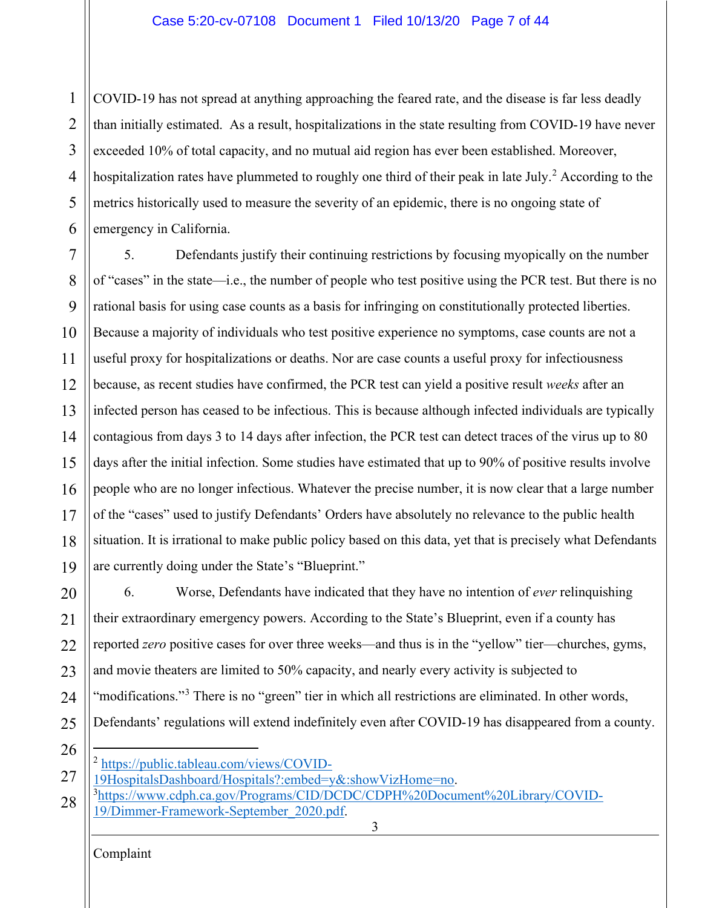1 2 3 4 5 6 COVID-19 has not spread at anything approaching the feared rate, and the disease is far less deadly than initially estimated. As a result, hospitalizations in the state resulting from COVID-19 have never exceeded 10% of total capacity, and no mutual aid region has ever been established. Moreover, hospitalization rates have plummeted to roughly one third of their peak in late July.<sup>[2](#page-6-0)</sup> According to the metrics historically used to measure the severity of an epidemic, there is no ongoing state of emergency in California.

7 8  $\mathbf Q$ 10 11 12 13 14 15 16 17 18 19 5. Defendants justify their continuing restrictions by focusing myopically on the number of "cases" in the state—i.e., the number of people who test positive using the PCR test. But there is no rational basis for using case counts as a basis for infringing on constitutionally protected liberties. Because a majority of individuals who test positive experience no symptoms, case counts are not a useful proxy for hospitalizations or deaths. Nor are case counts a useful proxy for infectiousness because, as recent studies have confirmed, the PCR test can yield a positive result *weeks* after an infected person has ceased to be infectious. This is because although infected individuals are typically contagious from days 3 to 14 days after infection, the PCR test can detect traces of the virus up to 80 days after the initial infection. Some studies have estimated that up to 90% of positive results involve people who are no longer infectious. Whatever the precise number, it is now clear that a large number of the "cases" used to justify Defendants' Orders have absolutely no relevance to the public health situation. It is irrational to make public policy based on this data, yet that is precisely what Defendants are currently doing under the State's "Blueprint."

20 21 22 23 24 25 6. Worse, Defendants have indicated that they have no intention of *ever* relinquishing their extraordinary emergency powers. According to the State's Blueprint, even if a county has reported *zero* positive cases for over three weeks—and thus is in the "yellow" tier—churches, gyms, and movie theaters are limited to 50% capacity, and nearly every activity is subjected to "modifications."<sup>[3](#page-6-1)</sup> There is no "green" tier in which all restrictions are eliminated. In other words, Defendants' regulations will extend indefinitely even after COVID-19 has disappeared from a county.

- 26
- [https://public.tableau.com/views/COVID-](https://public.tableau.com/views/COVID-19HospitalsDashboard/Hospitals?:embed=y&:showVizHome=no)

<span id="page-6-0"></span>27 [19HospitalsDashboard/Hospitals?:embed=y&:showVizHome=no.](https://public.tableau.com/views/COVID-19HospitalsDashboard/Hospitals?:embed=y&:showVizHome=no) 3

- [https://www.cdph.ca.gov/Programs/CID/DCDC/CDPH%20Document%20Library/COVID-](https://www.cdph.ca.gov/Programs/CID/DCDC/CDPH%20Document%20Library/COVID-19/Dimmer-Framework-September_2020.pdf)
- <span id="page-6-1"></span>3 28 [19/Dimmer-Framework-September\\_2020.pdf.](https://www.cdph.ca.gov/Programs/CID/DCDC/CDPH%20Document%20Library/COVID-19/Dimmer-Framework-September_2020.pdf)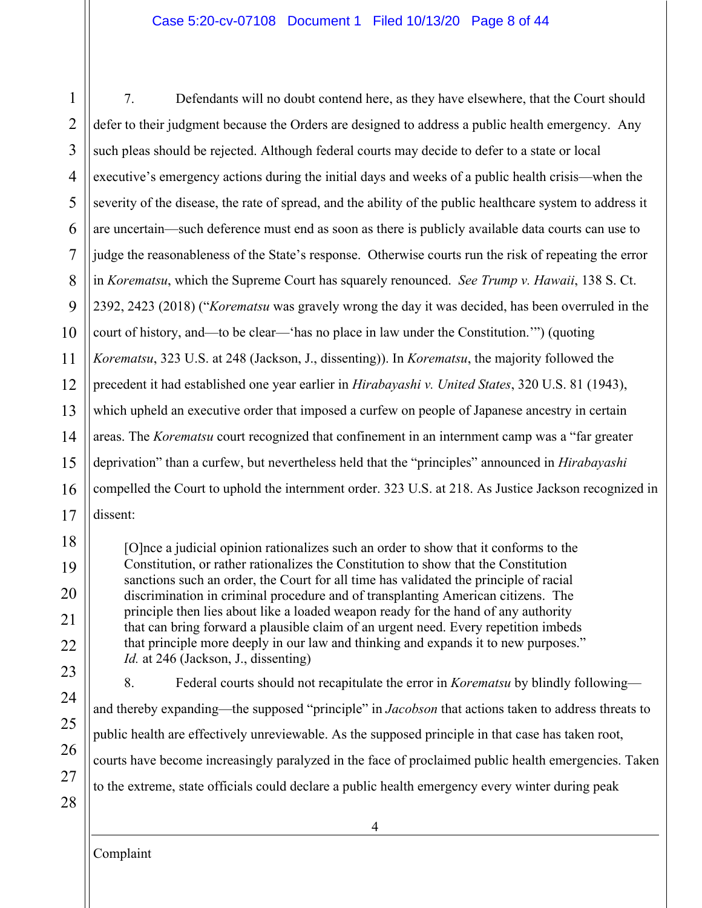#### Case 5:20-cv-07108 Document 1 Filed 10/13/20 Page 8 of 44

1 2 3 4 5 6 7 8  $\mathbf Q$ 10 11 12 13 14 15 16 17 7. Defendants will no doubt contend here, as they have elsewhere, that the Court should defer to their judgment because the Orders are designed to address a public health emergency. Any such pleas should be rejected. Although federal courts may decide to defer to a state or local executive's emergency actions during the initial days and weeks of a public health crisis—when the severity of the disease, the rate of spread, and the ability of the public healthcare system to address it are uncertain—such deference must end as soon as there is publicly available data courts can use to judge the reasonableness of the State's response. Otherwise courts run the risk of repeating the error in *Korematsu*, which the Supreme Court has squarely renounced. *See Trump v. Hawaii*, 138 S. Ct. 2392, 2423 (2018) ("*Korematsu* was gravely wrong the day it was decided, has been overruled in the court of history, and—to be clear—'has no place in law under the Constitution.'") (quoting *Korematsu*, 323 U.S. at 248 (Jackson, J., dissenting)). In *Korematsu*, the majority followed the precedent it had established one year earlier in *Hirabayashi v. United States*, 320 U.S. 81 (1943), which upheld an executive order that imposed a curfew on people of Japanese ancestry in certain areas. The *Korematsu* court recognized that confinement in an internment camp was a "far greater deprivation" than a curfew, but nevertheless held that the "principles" announced in *Hirabayashi* compelled the Court to uphold the internment order. 323 U.S. at 218. As Justice Jackson recognized in dissent:

[O]nce a judicial opinion rationalizes such an order to show that it conforms to the Constitution, or rather rationalizes the Constitution to show that the Constitution sanctions such an order, the Court for all time has validated the principle of racial discrimination in criminal procedure and of transplanting American citizens. The principle then lies about like a loaded weapon ready for the hand of any authority that can bring forward a plausible claim of an urgent need. Every repetition imbeds that principle more deeply in our law and thinking and expands it to new purposes." *Id.* at 246 (Jackson, J., dissenting)

18

19

20

21

22

23

24

25

26

27

28

8. Federal courts should not recapitulate the error in *Korematsu* by blindly following and thereby expanding—the supposed "principle" in *Jacobson* that actions taken to address threats to public health are effectively unreviewable. As the supposed principle in that case has taken root, courts have become increasingly paralyzed in the face of proclaimed public health emergencies. Taken to the extreme, state officials could declare a public health emergency every winter during peak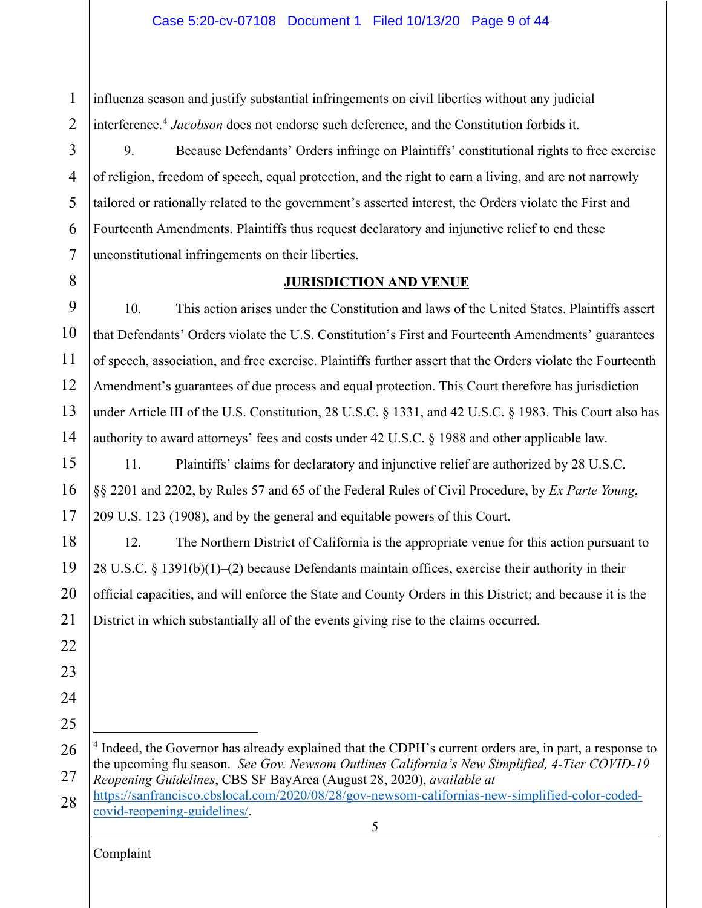1 2 influenza season and justify substantial infringements on civil liberties without any judicial interference.<sup>[4](#page-8-1)</sup> Jacobson does not endorse such deference, and the Constitution forbids it.

3 4 5 6 7 9. Because Defendants' Orders infringe on Plaintiffs' constitutional rights to free exercise of religion, freedom of speech, equal protection, and the right to earn a living, and are not narrowly tailored or rationally related to the government's asserted interest, the Orders violate the First and Fourteenth Amendments. Plaintiffs thus request declaratory and injunctive relief to end these unconstitutional infringements on their liberties.

## **JURISDICTION AND VENUE**

9 10 11 12 13 14 10. This action arises under the Constitution and laws of the United States. Plaintiffs assert that Defendants' Orders violate the U.S. Constitution's First and Fourteenth Amendments' guarantees of speech, association, and free exercise. Plaintiffs further assert that the Orders violate the Fourteenth Amendment's guarantees of due process and equal protection. This Court therefore has jurisdiction under Article III of the U.S. Constitution, 28 U.S.C. § 1331, and 42 U.S.C. § 1983. This Court also has authority to award attorneys' fees and costs under 42 U.S.C. § 1988 and other applicable law.

15 16 17 11. Plaintiffs' claims for declaratory and injunctive relief are authorized by 28 U.S.C. §§ 2201 and 2202, by Rules 57 and 65 of the Federal Rules of Civil Procedure, by *Ex Parte Young*, 209 U.S. 123 (1908), and by the general and equitable powers of this Court.

18 19 20 21 12. The Northern District of California is the appropriate venue for this action pursuant to 28 U.S.C. § 1391(b)(1)–(2) because Defendants maintain offices, exercise their authority in their official capacities, and will enforce the State and County Orders in this District; and because it is the District in which substantially all of the events giving rise to the claims occurred.

- <span id="page-8-1"></span>26 27 <sup>4</sup> Indeed, the Governor has already explained that the CDPH's current orders are, in part, a response to the upcoming flu season. *See Gov. Newsom Outlines California's New Simplified, 4-Tier COVID-19 Reopening Guidelines*, CBS SF BayArea (August 28, 2020), *available at* [https://sanfrancisco.cbslocal.com/2020/08/28/gov-newsom-californias-new-simplified-color-coded-](https://sanfrancisco.cbslocal.com/2020/08/28/gov-newsom-californias-new-simplified-color-coded-covid-reopening-guidelines/)
- 5 28 [covid-reopening-guidelines/.](https://sanfrancisco.cbslocal.com/2020/08/28/gov-newsom-californias-new-simplified-color-coded-covid-reopening-guidelines/)

Complaint

<span id="page-8-0"></span>8

22

23

24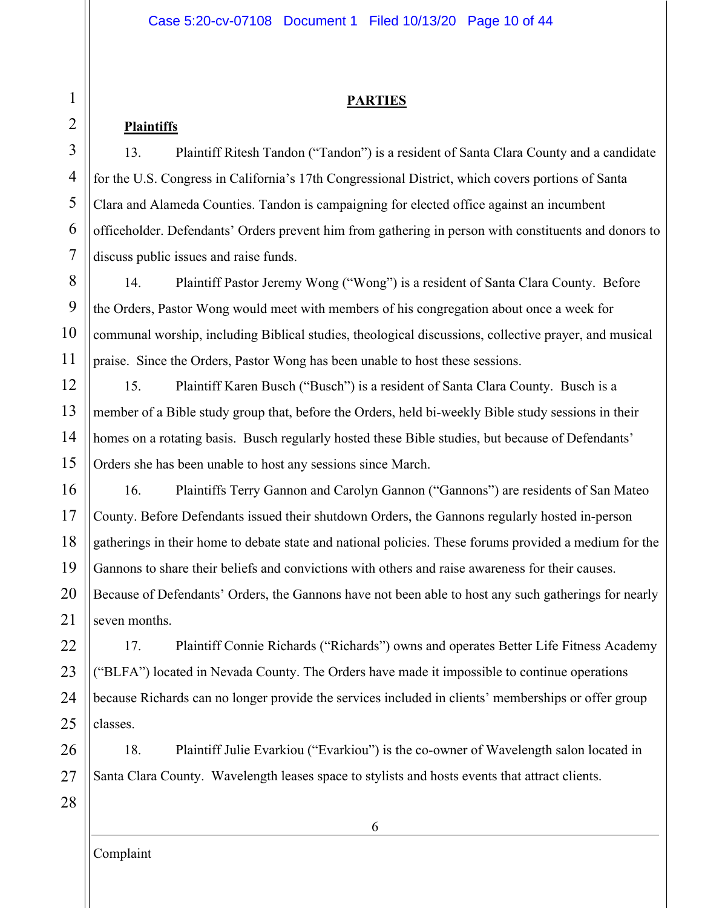## **PARTIES**

# **Plaintiffs**

<span id="page-9-0"></span>1

2

3

4

5

6

7

13. Plaintiff Ritesh Tandon ("Tandon") is a resident of Santa Clara County and a candidate for the U.S. Congress in California's 17th Congressional District, which covers portions of Santa Clara and Alameda Counties. Tandon is campaigning for elected office against an incumbent officeholder. Defendants' Orders prevent him from gathering in person with constituents and donors to discuss public issues and raise funds.

8 9 10 11 14. Plaintiff Pastor Jeremy Wong ("Wong") is a resident of Santa Clara County. Before the Orders, Pastor Wong would meet with members of his congregation about once a week for communal worship, including Biblical studies, theological discussions, collective prayer, and musical praise. Since the Orders, Pastor Wong has been unable to host these sessions.

12 13 14 15 15. Plaintiff Karen Busch ("Busch") is a resident of Santa Clara County. Busch is a member of a Bible study group that, before the Orders, held bi-weekly Bible study sessions in their homes on a rotating basis. Busch regularly hosted these Bible studies, but because of Defendants' Orders she has been unable to host any sessions since March.

16 17 18 19 20 21 16. Plaintiffs Terry Gannon and Carolyn Gannon ("Gannons") are residents of San Mateo County. Before Defendants issued their shutdown Orders, the Gannons regularly hosted in-person gatherings in their home to debate state and national policies. These forums provided a medium for the Gannons to share their beliefs and convictions with others and raise awareness for their causes. Because of Defendants' Orders, the Gannons have not been able to host any such gatherings for nearly seven months.

22 23 24 25 17. Plaintiff Connie Richards ("Richards") owns and operates Better Life Fitness Academy ("BLFA") located in Nevada County. The Orders have made it impossible to continue operations because Richards can no longer provide the services included in clients' memberships or offer group classes.

26 27 18. Plaintiff Julie Evarkiou ("Evarkiou") is the co-owner of Wavelength salon located in Santa Clara County. Wavelength leases space to stylists and hosts events that attract clients.

28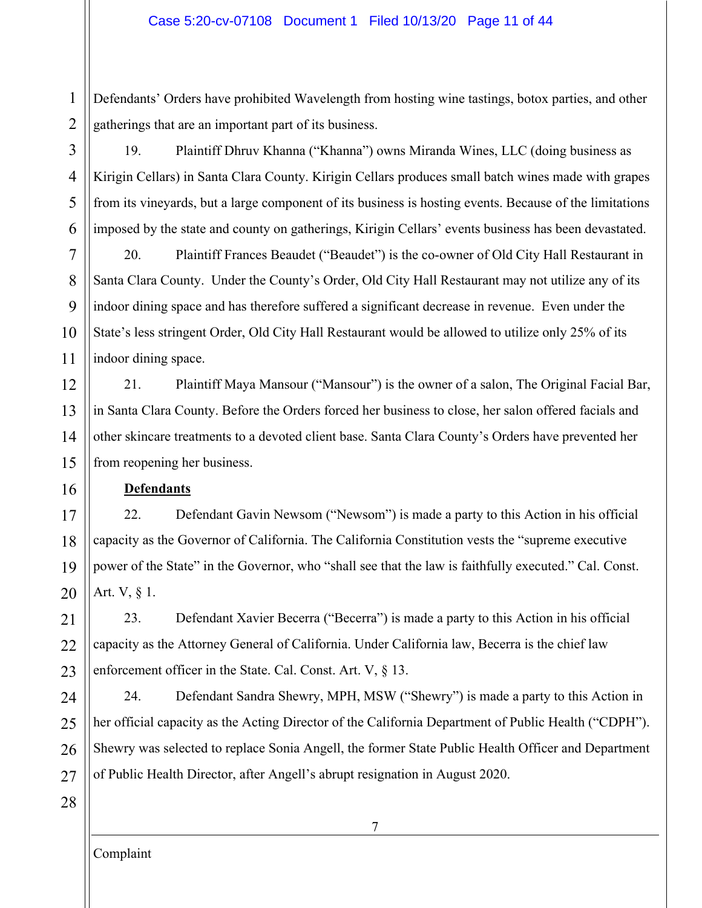1 2 Defendants' Orders have prohibited Wavelength from hosting wine tastings, botox parties, and other gatherings that are an important part of its business.

3 4 5 6 19. Plaintiff Dhruv Khanna ("Khanna") owns Miranda Wines, LLC (doing business as Kirigin Cellars) in Santa Clara County. Kirigin Cellars produces small batch wines made with grapes from its vineyards, but a large component of its business is hosting events. Because of the limitations imposed by the state and county on gatherings, Kirigin Cellars' events business has been devastated.

7 8 9 10 11 20. Plaintiff Frances Beaudet ("Beaudet") is the co-owner of Old City Hall Restaurant in Santa Clara County. Under the County's Order, Old City Hall Restaurant may not utilize any of its indoor dining space and has therefore suffered a significant decrease in revenue. Even under the State's less stringent Order, Old City Hall Restaurant would be allowed to utilize only 25% of its indoor dining space.

12 13 14 15 21. Plaintiff Maya Mansour ("Mansour") is the owner of a salon, The Original Facial Bar, in Santa Clara County. Before the Orders forced her business to close, her salon offered facials and other skincare treatments to a devoted client base. Santa Clara County's Orders have prevented her from reopening her business.

#### **Defendants**

17 18 19 20 22. Defendant Gavin Newsom ("Newsom") is made a party to this Action in his official capacity as the Governor of California. The California Constitution vests the "supreme executive power of the State" in the Governor, who "shall see that the law is faithfully executed." Cal. Const. Art. V, § 1.

21 22 23 23. Defendant Xavier Becerra ("Becerra") is made a party to this Action in his official capacity as the Attorney General of California. Under California law, Becerra is the chief law enforcement officer in the State. Cal. Const. Art. V, § 13.

24 25 26 27 24. Defendant Sandra Shewry, MPH, MSW ("Shewry") is made a party to this Action in her official capacity as the Acting Director of the California Department of Public Health ("CDPH"). Shewry was selected to replace Sonia Angell, the former State Public Health Officer and Department of Public Health Director, after Angell's abrupt resignation in August 2020.

28

16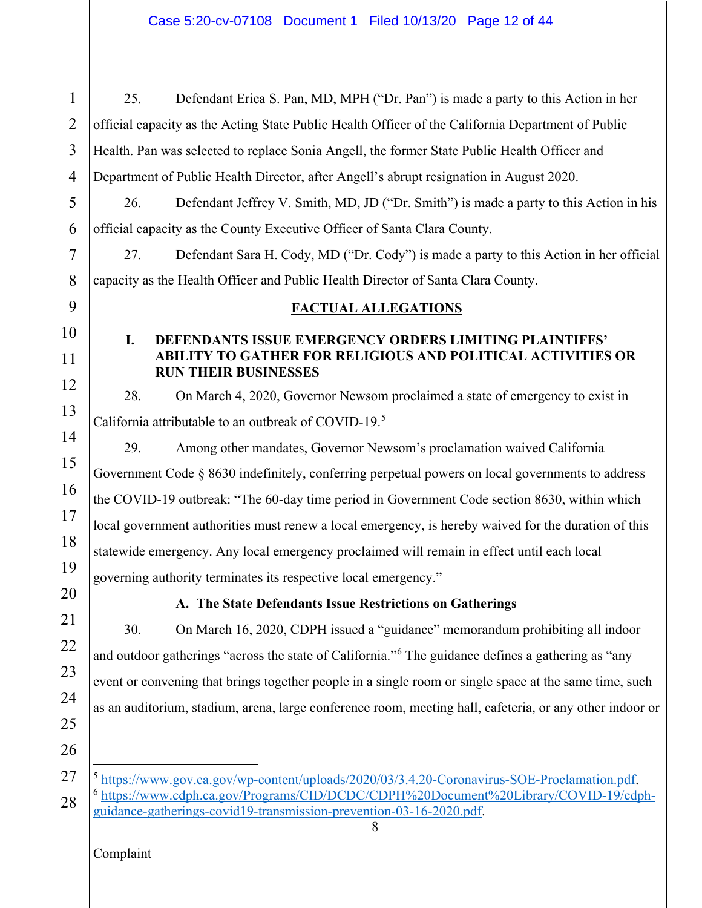<span id="page-11-1"></span><span id="page-11-0"></span>1 2 3 4 5 6 7 8 9 28 25. Defendant Erica S. Pan, MD, MPH ("Dr. Pan") is made a party to this Action in her official capacity as the Acting State Public Health Officer of the California Department of Public Health. Pan was selected to replace Sonia Angell, the former State Public Health Officer and Department of Public Health Director, after Angell's abrupt resignation in August 2020. 26. Defendant Jeffrey V. Smith, MD, JD ("Dr. Smith") is made a party to this Action in his official capacity as the County Executive Officer of Santa Clara County. 27. Defendant Sara H. Cody, MD ("Dr. Cody") is made a party to this Action in her official capacity as the Health Officer and Public Health Director of Santa Clara County. **FACTUAL ALLEGATIONS I. DEFENDANTS ISSUE EMERGENCY ORDERS LIMITING PLAINTIFFS' ABILITY TO GATHER FOR RELIGIOUS AND POLITICAL ACTIVITIES OR RUN THEIR BUSINESSES** 28. On March 4, 2020, Governor Newsom proclaimed a state of emergency to exist in California attributable to an outbreak of COVID-19.<sup>[5](#page-11-3)</sup> 29. Among other mandates, Governor Newsom's proclamation waived California Government Code § 8630 indefinitely, conferring perpetual powers on local governments to address the COVID-19 outbreak: "The 60-day time period in Government Code section 8630, within which local government authorities must renew a local emergency, is hereby waived for the duration of this statewide emergency. Any local emergency proclaimed will remain in effect until each local governing authority terminates its respective local emergency." **A. The State Defendants Issue Restrictions on Gatherings** 30. On March 16, 2020, CDPH issued a "guidance" memorandum prohibiting all indoor and outdoor gatherings "across the state of California."<sup>[6](#page-11-4)</sup> The guidance defines a gathering as "any event or convening that brings together people in a single room or single space at the same time, such as an auditorium, stadium, arena, large conference room, meeting hall, cafeteria, or any other indoor or <sup>5</sup> [https://www.gov.ca.gov/wp-content/uploads/2020/03/3.4.20-Coronavirus-SOE-Proclamation.pdf.](https://www.gov.ca.gov/wp-content/uploads/2020/03/3.4.20-Coronavirus-SOE-Proclamation.pdf) <sup>6</sup> [https://www.cdph.ca.gov/Programs/CID/DCDC/CDPH%20Document%20Library/COVID-19/cdph-](https://www.cdph.ca.gov/Programs/CID/DCDC/CDPH%20Document%20Library/COVID-19/cdph-guidance-gatherings-covid19-transmission-prevention-03-16-2020.pdf)

<span id="page-11-4"></span><span id="page-11-3"></span><span id="page-11-2"></span>[guidance-gatherings-covid19-transmission-prevention-03-16-2020.pdf.](https://www.cdph.ca.gov/Programs/CID/DCDC/CDPH%20Document%20Library/COVID-19/cdph-guidance-gatherings-covid19-transmission-prevention-03-16-2020.pdf)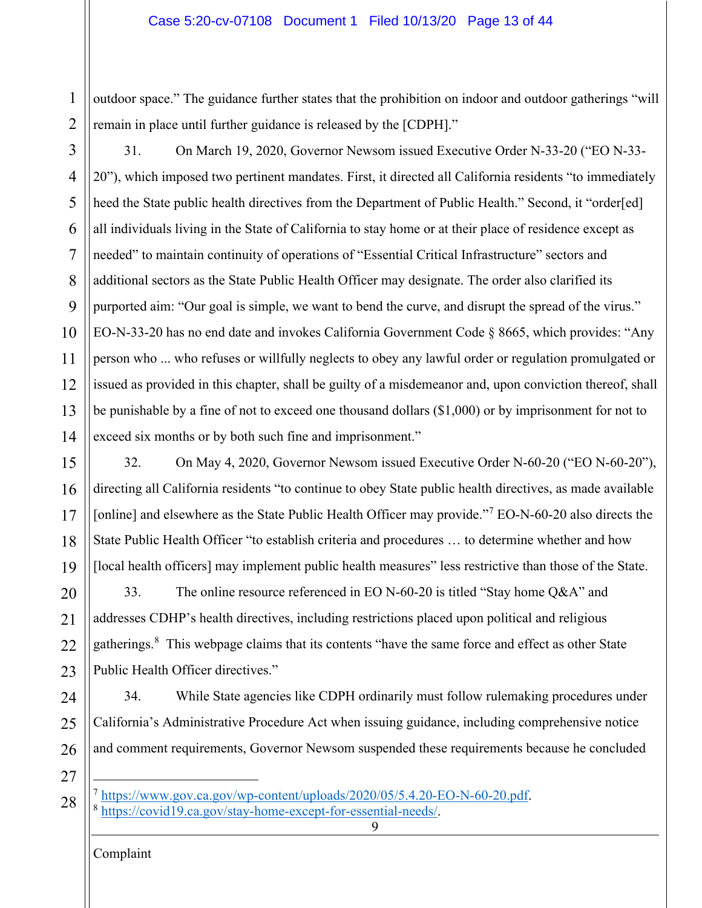1 2 outdoor space." The guidance further states that the prohibition on indoor and outdoor gatherings "will remain in place until further guidance is released by the [CDPH]."

- 3 4 5 6 7 8 9 10 11 12 13 14 31. On March 19, 2020, Governor Newsom issued Executive Order N-33-20 ("EO N-33- 20"), which imposed two pertinent mandates. First, it directed all California residents "to immediately heed the State public health directives from the Department of Public Health." Second, it "order[ed] all individuals living in the State of California to stay home or at their place of residence except as needed" to maintain continuity of operations of "Essential Critical Infrastructure" sectors and additional sectors as the State Public Health Officer may designate. The order also clarified its purported aim: "Our goal is simple, we want to bend the curve, and disrupt the spread of the virus." EO-N-33-20 has no end date and invokes California Government Code § 8665, which provides: "Any person who ... who refuses or willfully neglects to obey any lawful order or regulation promulgated or issued as provided in this chapter, shall be guilty of a misdemeanor and, upon conviction thereof, shall be punishable by a fine of not to exceed one thousand dollars (\$1,000) or by imprisonment for not to exceed six months or by both such fine and imprisonment."
- 15 16 17 18 19 32. On May 4, 2020, Governor Newsom issued Executive Order N-60-20 ("EO N-60-20"), directing all California residents "to continue to obey State public health directives, as made available [online] and elsewhere as the State Public Health Officer may provide."<sup>[7](#page-12-0)</sup> EO-N-60-20 also directs the State Public Health Officer "to establish criteria and procedures … to determine whether and how [local health officers] may implement public health measures" less restrictive than those of the State.

20 21 22 23 33. The online resource referenced in EO N-60-20 is titled "Stay home Q&A" and addresses CDHP's health directives, including restrictions placed upon political and religious gatherings.<sup>[8](#page-12-1)</sup> This webpage claims that its contents "have the same force and effect as other State Public Health Officer directives."

24 25 26 34. While State agencies like CDPH ordinarily must follow rulemaking procedures under California's Administrative Procedure Act when issuing guidance, including comprehensive notice and comment requirements, Governor Newsom suspended these requirements because he concluded

9

27

<span id="page-12-1"></span><span id="page-12-0"></span><sup>28</sup>  $^{7}$  [https://www.gov.ca.gov/wp-content/uploads/2020/05/5.4.20-EO-N-60-20.pdf.](https://www.gov.ca.gov/wp-content/uploads/2020/05/5.4.20-EO-N-60-20.pdf) 8 [https://covid19.ca.gov/stay-home-except-for-essential-needs/.](https://covid19.ca.gov/stay-home-except-for-essential-needs/)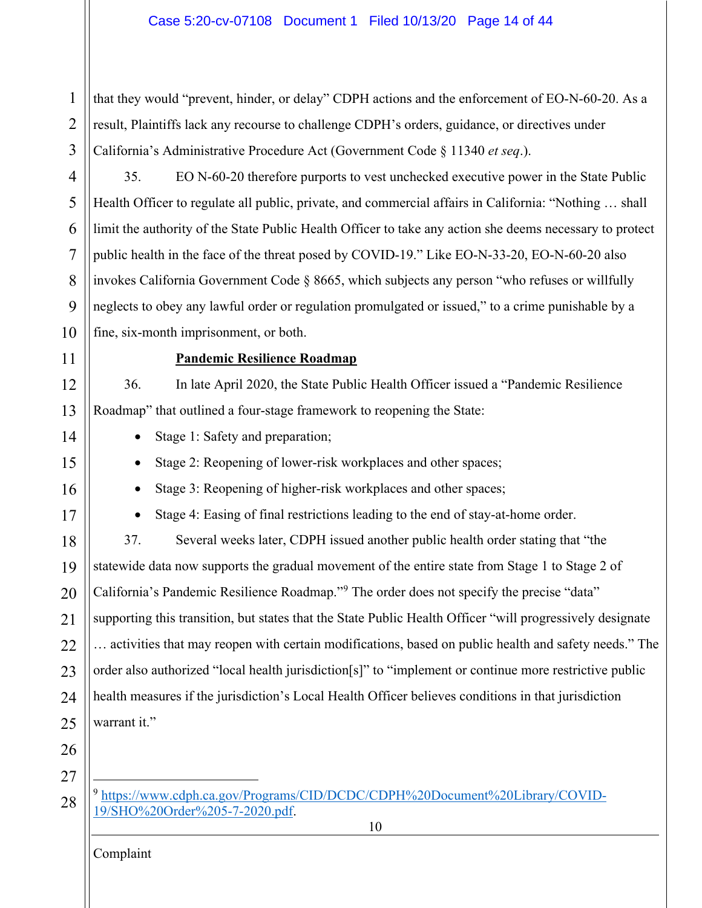1 2 3 that they would "prevent, hinder, or delay" CDPH actions and the enforcement of EO-N-60-20. As a result, Plaintiffs lack any recourse to challenge CDPH's orders, guidance, or directives under California's Administrative Procedure Act (Government Code § 11340 *et seq*.).

4 5 6 7 8 9 10 35. EO N-60-20 therefore purports to vest unchecked executive power in the State Public Health Officer to regulate all public, private, and commercial affairs in California: "Nothing … shall limit the authority of the State Public Health Officer to take any action she deems necessary to protect public health in the face of the threat posed by COVID-19." Like EO-N-33-20, EO-N-60-20 also invokes California Government Code § 8665, which subjects any person "who refuses or willfully neglects to obey any lawful order or regulation promulgated or issued," to a crime punishable by a fine, six-month imprisonment, or both.

11

12

13

14

15

## **Pandemic Resilience Roadmap**

36. In late April 2020, the State Public Health Officer issued a "Pandemic Resilience Roadmap" that outlined a four-stage framework to reopening the State:

• Stage 1: Safety and preparation;

• Stage 2: Reopening of lower-risk workplaces and other spaces;

16

17

• Stage 3: Reopening of higher-risk workplaces and other spaces;

• Stage 4: Easing of final restrictions leading to the end of stay-at-home order.

18 19 20 21 22 23 24 25 37. Several weeks later, CDPH issued another public health order stating that "the statewide data now supports the gradual movement of the entire state from Stage 1 to Stage 2 of California's Pandemic Resilience Roadmap."[9](#page-13-0) The order does not specify the precise "data" supporting this transition, but states that the State Public Health Officer "will progressively designate … activities that may reopen with certain modifications, based on public health and safety needs." The order also authorized "local health jurisdiction[s]" to "implement or continue more restrictive public health measures if the jurisdiction's Local Health Officer believes conditions in that jurisdiction warrant it."

26 27

<span id="page-13-0"></span><sup>28</sup> <sup>9</sup> [https://www.cdph.ca.gov/Programs/CID/DCDC/CDPH%20Document%20Library/COVID-](https://www.cdph.ca.gov/Programs/CID/DCDC/CDPH%20Document%20Library/COVID-19/SHO%20Order%205-7-2020.pdf)[19/SHO%20Order%205-7-2020.pdf.](https://www.cdph.ca.gov/Programs/CID/DCDC/CDPH%20Document%20Library/COVID-19/SHO%20Order%205-7-2020.pdf)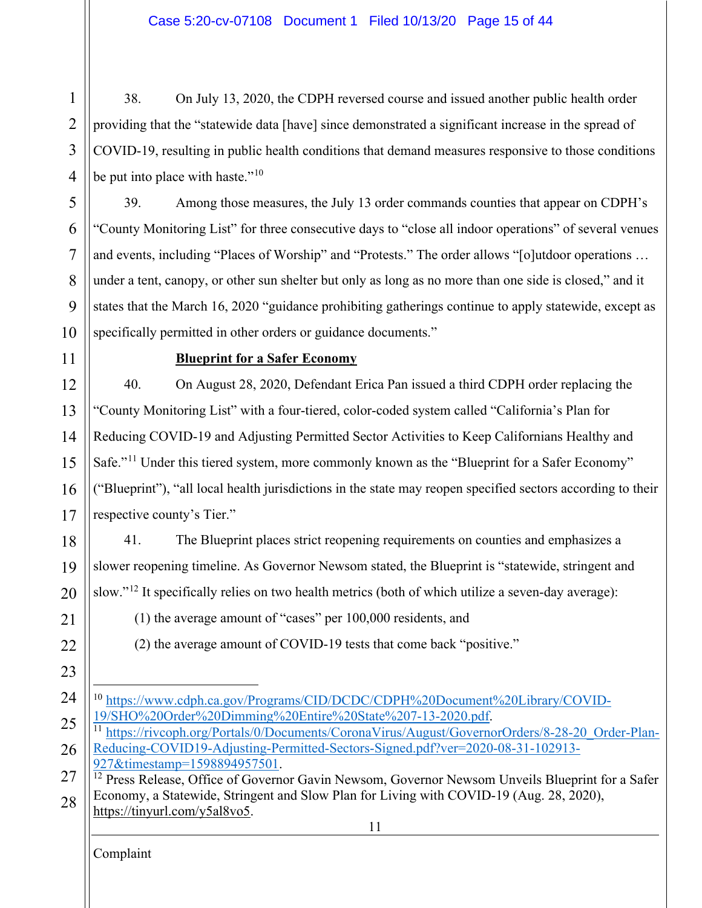1 2 3 4 38. On July 13, 2020, the CDPH reversed course and issued another public health order providing that the "statewide data [have] since demonstrated a significant increase in the spread of COVID-19, resulting in public health conditions that demand measures responsive to those conditions be put into place with haste."<sup>[10](#page-14-0)</sup>

39. Among those measures, the July 13 order commands counties that appear on CDPH's "County Monitoring List" for three consecutive days to "close all indoor operations" of several venues and events, including "Places of Worship" and "Protests." The order allows "[o]utdoor operations … under a tent, canopy, or other sun shelter but only as long as no more than one side is closed," and it states that the March 16, 2020 "guidance prohibiting gatherings continue to apply statewide, except as specifically permitted in other orders or guidance documents."

10 11

5

6

7

8

9

# **Blueprint for a Safer Economy**

12 13 14 15 16 17 40. On August 28, 2020, Defendant Erica Pan issued a third CDPH order replacing the "County Monitoring List" with a four-tiered, color-coded system called "California's Plan for Reducing COVID-19 and Adjusting Permitted Sector Activities to Keep Californians Healthy and Safe."<sup>[11](#page-14-1)</sup> Under this tiered system, more commonly known as the "Blueprint for a Safer Economy" ("Blueprint"), "all local health jurisdictions in the state may reopen specified sectors according to their respective county's Tier."

18 19 20 41. The Blueprint places strict reopening requirements on counties and emphasizes a slower reopening timeline. As Governor Newsom stated, the Blueprint is "statewide, stringent and slow."<sup>[12](#page-14-2)</sup> It specifically relies on two health metrics (both of which utilize a seven-day average):

(1) the average amount of "cases" per 100,000 residents, and

(2) the average amount of COVID-19 tests that come back "positive."

23

22

21

<span id="page-14-0"></span>24 <sup>10</sup> [https://www.cdph.ca.gov/Programs/CID/DCDC/CDPH%20Document%20Library/COVID-](https://www.cdph.ca.gov/Programs/CID/DCDC/CDPH%20Document%20Library/COVID-19/SHO%20Order%20Dimming%20Entire%20State%207-13-2020.pdf)[19/SHO%20Order%20Dimming%20Entire%20State%207-13-2020.pdf.](https://www.cdph.ca.gov/Programs/CID/DCDC/CDPH%20Document%20Library/COVID-19/SHO%20Order%20Dimming%20Entire%20State%207-13-2020.pdf)

<span id="page-14-1"></span>25 26 <sup>11</sup> [https://rivcoph.org/Portals/0/Documents/CoronaVirus/August/GovernorOrders/8-28-20\\_Order-Plan-](https://rivcoph.org/Portals/0/Documents/CoronaVirus/August/GovernorOrders/8-28-20_Order-Plan-Reducing-COVID19-Adjusting-Permitted-Sectors-Signed.pdf?ver=2020-08-31-102913-927×tamp=1598894957501)[Reducing-COVID19-Adjusting-Permitted-Sectors-Signed.pdf?ver=2020-08-31-102913-](https://rivcoph.org/Portals/0/Documents/CoronaVirus/August/GovernorOrders/8-28-20_Order-Plan-Reducing-COVID19-Adjusting-Permitted-Sectors-Signed.pdf?ver=2020-08-31-102913-927×tamp=1598894957501) [927&timestamp=1598894957501.](https://rivcoph.org/Portals/0/Documents/CoronaVirus/August/GovernorOrders/8-28-20_Order-Plan-Reducing-COVID19-Adjusting-Permitted-Sectors-Signed.pdf?ver=2020-08-31-102913-927×tamp=1598894957501)

<span id="page-14-2"></span>27 28 <sup>12</sup> Press Release, Office of Governor Gavin Newsom, Governor Newsom Unveils Blueprint for a Safer Economy, a Statewide, Stringent and Slow Plan for Living with COVID-19 (Aug. 28, 2020), [https://tinyurl.com/y5al8vo5.](https://tinyurl.com/y5al8vo5)

11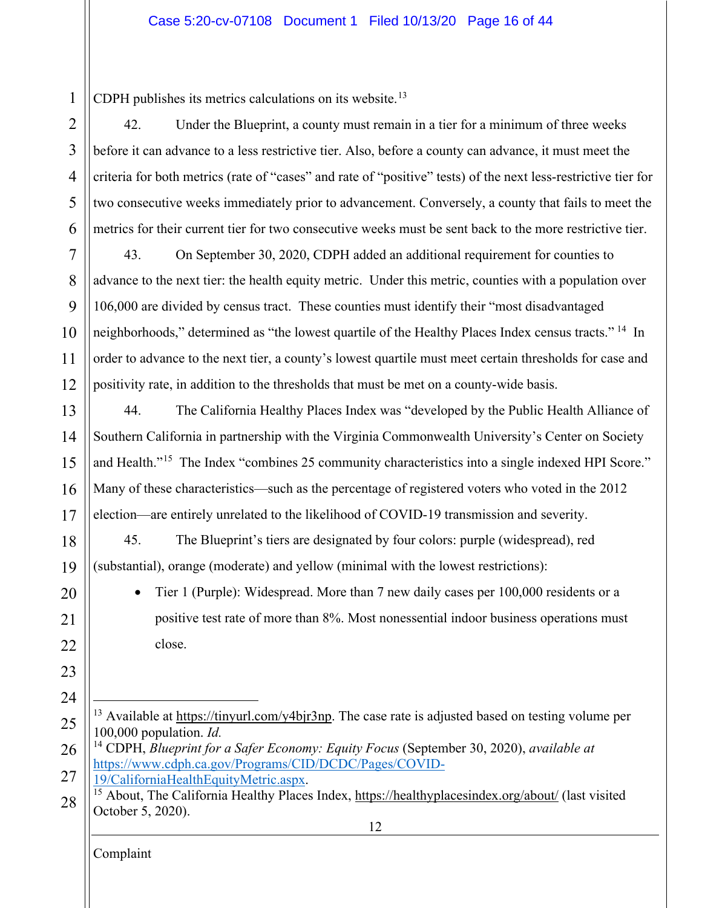1 CDPH publishes its metrics calculations on its website.<sup>[13](#page-15-0)</sup>

2 3 4 5 6 42. Under the Blueprint, a county must remain in a tier for a minimum of three weeks before it can advance to a less restrictive tier. Also, before a county can advance, it must meet the criteria for both metrics (rate of "cases" and rate of "positive" tests) of the next less-restrictive tier for two consecutive weeks immediately prior to advancement. Conversely, a county that fails to meet the metrics for their current tier for two consecutive weeks must be sent back to the more restrictive tier.

7 8  $\mathbf Q$ 10 11 12 43. On September 30, 2020, CDPH added an additional requirement for counties to advance to the next tier: the health equity metric. Under this metric, counties with a population over 106,000 are divided by census tract. These counties must identify their "most disadvantaged neighborhoods," determined as "the lowest quartile of the Healthy Places Index census tracts." <sup>[14](#page-15-1)</sup> In order to advance to the next tier, a county's lowest quartile must meet certain thresholds for case and positivity rate, in addition to the thresholds that must be met on a county-wide basis.

13 14 15 16 17 44. The California Healthy Places Index was "developed by the Public Health Alliance of Southern California in partnership with the Virginia Commonwealth University's Center on Society and Health."<sup>15</sup> The Index "combines 25 community characteristics into a single indexed HPI Score." Many of these characteristics—such as the percentage of registered voters who voted in the 2012 election—are entirely unrelated to the likelihood of COVID-19 transmission and severity.

45. The Blueprint's tiers are designated by four colors: purple (widespread), red (substantial), orange (moderate) and yellow (minimal with the lowest restrictions):

20 21 22

23

24

18

19

• Tier 1 (Purple): Widespread. More than 7 new daily cases per 100,000 residents or a positive test rate of more than 8%. Most nonessential indoor business operations must close.

<span id="page-15-0"></span>25 <sup>13</sup> Available at [https://tinyurl.com/y4bjr3np.](https://tinyurl.com/y4bjr3np) The case rate is adjusted based on testing volume per 100,000 population. *Id.*

<span id="page-15-1"></span>26 27 <sup>14</sup> CDPH, *Blueprint for a Safer Economy: Equity Focus* (September 30, 2020), *available at*  [https://www.cdph.ca.gov/Programs/CID/DCDC/Pages/COVID-](https://www.cdph.ca.gov/Programs/CID/DCDC/Pages/COVID-19/CaliforniaHealthEquityMetric.aspx)[19/CaliforniaHealthEquityMetric.aspx.](https://www.cdph.ca.gov/Programs/CID/DCDC/Pages/COVID-19/CaliforniaHealthEquityMetric.aspx)

<span id="page-15-2"></span>12 28 <sup>15</sup> About, The California Healthy Places Index,<https://healthyplacesindex.org/about/> (last visited October 5, 2020).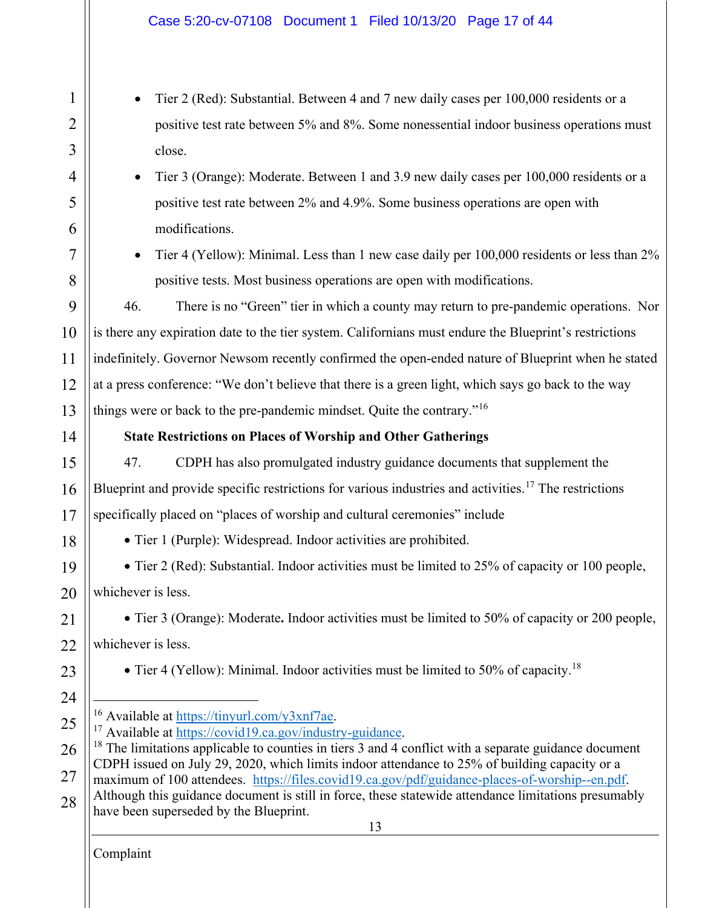<span id="page-16-2"></span><span id="page-16-1"></span><span id="page-16-0"></span>13 Complaint 1 2 3 4 5 6 7 8 9 10 11 12 13 14 15 16 17 18 19 20 21  $22$ 23 24 25 26 27 28 • Tier 2 (Red): Substantial. Between 4 and 7 new daily cases per 100,000 residents or a positive test rate between 5% and 8%. Some nonessential indoor business operations must close. • Tier 3 (Orange): Moderate. Between 1 and 3.9 new daily cases per 100,000 residents or a positive test rate between 2% and 4.9%. Some business operations are open with modifications. • Tier 4 (Yellow): Minimal. Less than 1 new case daily per 100,000 residents or less than 2% positive tests. Most business operations are open with modifications. 46. There is no "Green" tier in which a county may return to pre-pandemic operations. Nor is there any expiration date to the tier system. Californians must endure the Blueprint's restrictions indefinitely. Governor Newsom recently confirmed the open-ended nature of Blueprint when he stated at a press conference: "We don't believe that there is a green light, which says go back to the way things were or back to the pre-pandemic mindset. Quite the contrary."<sup>[16](#page-16-0)</sup> **State Restrictions on Places of Worship and Other Gatherings** 47. CDPH has also promulgated industry guidance documents that supplement the Blueprint and provide specific restrictions for various industries and activities. [17](#page-16-1) The restrictions specifically placed on "places of worship and cultural ceremonies" include • Tier 1 (Purple): Widespread. Indoor activities are prohibited. • Tier 2 (Red): Substantial. Indoor activities must be limited to 25% of capacity or 100 people, whichever is less. • Tier 3 (Orange): Moderate**.** Indoor activities must be limited to 50% of capacity or 200 people, whichever is less. • Tier 4 (Yellow): Minimal. Indoor activities must be limited to 50% of capacity.<sup>[18](#page-16-2)</sup> <sup>16</sup> Available at [https://tinyurl.com/y3xnf7ae.](https://tinyurl.com/y3xnf7ae)<br><sup>17</sup> Available at [https://covid19.ca.gov/industry-guidance.](https://covid19.ca.gov/industry-guidance)<br><sup>18</sup> The limitations applicable to counties in tiers 3 and 4 conflict with a separate guidance document CDPH issued on July 29, 2020, which limits indoor attendance to 25% of building capacity or a maximum of 100 attendees. [https://files.covid19.ca.gov/pdf/guidance-places-of-worship--en.pdf.](https://files.covid19.ca.gov/pdf/guidance-places-of-worship--en.pdf) Although this guidance document is still in force, these statewide attendance limitations presumably have been superseded by the Blueprint.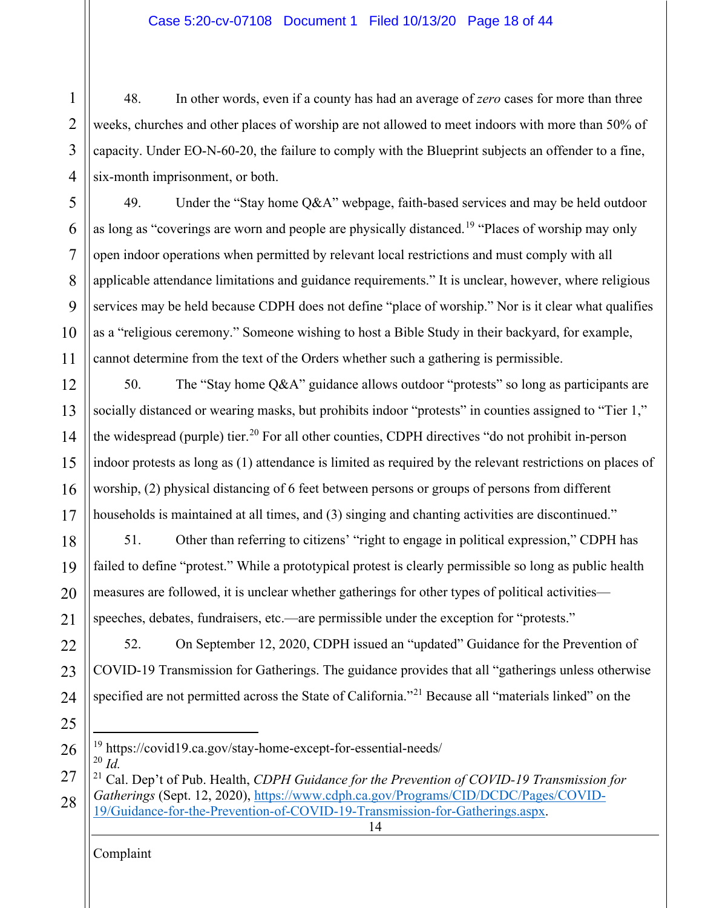4 48. In other words, even if a county has had an average of *zero* cases for more than three weeks, churches and other places of worship are not allowed to meet indoors with more than 50% of capacity. Under EO-N-60-20, the failure to comply with the Blueprint subjects an offender to a fine, six-month imprisonment, or both.

49. Under the "Stay home Q&A" webpage, faith-based services and may be held outdoor as long as "coverings are worn and people are physically distanced.<sup>[19](#page-17-0)</sup> "Places of worship may only open indoor operations when permitted by relevant local restrictions and must comply with all applicable attendance limitations and guidance requirements." It is unclear, however, where religious services may be held because CDPH does not define "place of worship." Nor is it clear what qualifies as a "religious ceremony." Someone wishing to host a Bible Study in their backyard, for example, cannot determine from the text of the Orders whether such a gathering is permissible.

12 13 14 15 16 17 50. The "Stay home Q&A" guidance allows outdoor "protests" so long as participants are socially distanced or wearing masks, but prohibits indoor "protests" in counties assigned to "Tier 1," the widespread (purple) tier.<sup>[20](#page-17-1)</sup> For all other counties, CDPH directives "do not prohibit in-person indoor protests as long as (1) attendance is limited as required by the relevant restrictions on places of worship, (2) physical distancing of 6 feet between persons or groups of persons from different households is maintained at all times, and (3) singing and chanting activities are discontinued."

18 19 20 21 51. Other than referring to citizens' "right to engage in political expression," CDPH has failed to define "protest." While a prototypical protest is clearly permissible so long as public health measures are followed, it is unclear whether gatherings for other types of political activities speeches, debates, fundraisers, etc.—are permissible under the exception for "protests."

22 23 24 52. On September 12, 2020, CDPH issued an "updated" Guidance for the Prevention of COVID-19 Transmission for Gatherings. The guidance provides that all "gatherings unless otherwise specified are not permitted across the State of California."<sup>[21](#page-17-2)</sup> Because all "materials linked" on the

25

1

2

3

5

6

7

8

9

10

11

<span id="page-17-0"></span>26

<sup>19</sup> https://covid19.ca.gov/stay-home-except-for-essential-needs/ <sup>20</sup> *Id.*

<span id="page-17-2"></span><span id="page-17-1"></span>27 28 <sup>21</sup> Cal. Dep't of Pub. Health, *CDPH Guidance for the Prevention of COVID-19 Transmission for Gatherings* (Sept. 12, 2020), [https://www.cdph.ca.gov/Programs/CID/DCDC/Pages/COVID-](https://www.cdph.ca.gov/Programs/CID/DCDC/Pages/COVID-19/Guidance-for-the-Prevention-of-COVID-19-Transmission-for-Gatherings.aspx)[19/Guidance-for-the-Prevention-of-COVID-19-Transmission-for-Gatherings.aspx.](https://www.cdph.ca.gov/Programs/CID/DCDC/Pages/COVID-19/Guidance-for-the-Prevention-of-COVID-19-Transmission-for-Gatherings.aspx)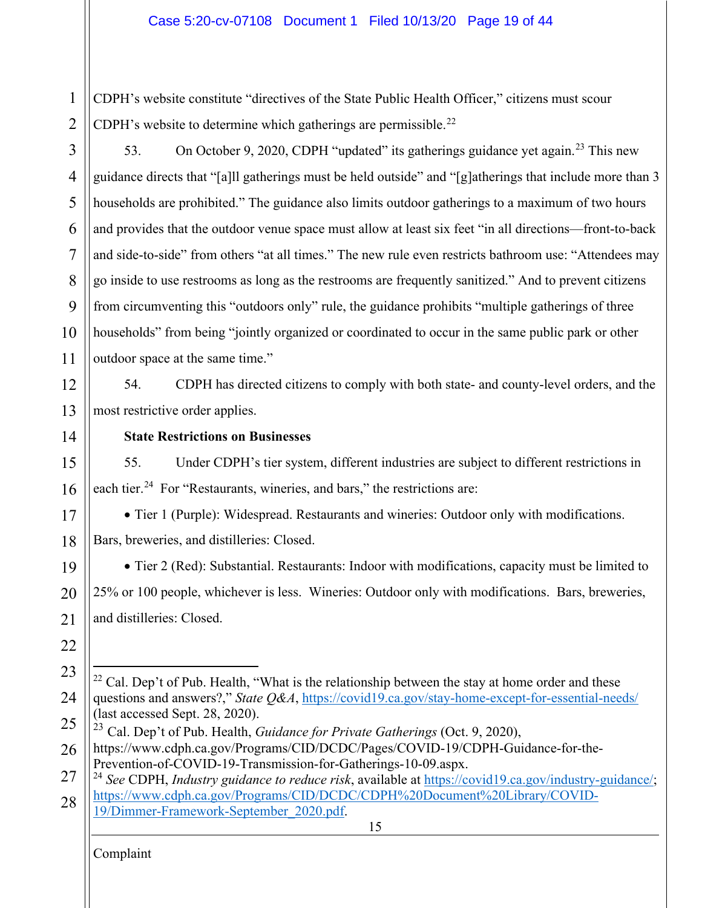1 2 CDPH's website constitute "directives of the State Public Health Officer," citizens must scour CDPH's website to determine which gatherings are permissible.<sup>[22](#page-18-0)</sup>

3 4 5 6 7 8 9 10 11 53. On October 9, 2020, CDPH "updated" its gatherings guidance yet again.<sup>[23](#page-18-1)</sup> This new guidance directs that "[a]ll gatherings must be held outside" and "[g]atherings that include more than 3 households are prohibited." The guidance also limits outdoor gatherings to a maximum of two hours and provides that the outdoor venue space must allow at least six feet "in all directions—front-to-back and side-to-side" from others "at all times." The new rule even restricts bathroom use: "Attendees may go inside to use restrooms as long as the restrooms are frequently sanitized." And to prevent citizens from circumventing this "outdoors only" rule, the guidance prohibits "multiple gatherings of three households" from being "jointly organized or coordinated to occur in the same public park or other outdoor space at the same time."

12 13 54. CDPH has directed citizens to comply with both state- and county-level orders, and the most restrictive order applies.

14

## **State Restrictions on Businesses**

15 16 55. Under CDPH's tier system, different industries are subject to different restrictions in each tier.<sup>24</sup> For "Restaurants, wineries, and bars," the restrictions are:

• Tier 1 (Purple): Widespread. Restaurants and wineries: Outdoor only with modifications. Bars, breweries, and distilleries: Closed.

19 20 21 • Tier 2 (Red): Substantial. Restaurants: Indoor with modifications, capacity must be limited to 25% or 100 people, whichever is less. Wineries: Outdoor only with modifications. Bars, breweries, and distilleries: Closed.

22

17

18

<span id="page-18-2"></span>27 28 <sup>24</sup> *See* CDPH, *Industry guidance to reduce risk*, available at [https://covid19.ca.gov/industry-guidance/;](https://covid19.ca.gov/industry-guidance/) [https://www.cdph.ca.gov/Programs/CID/DCDC/CDPH%20Document%20Library/COVID-](https://www.cdph.ca.gov/Programs/CID/DCDC/CDPH%20Document%20Library/COVID-19/Dimmer-Framework-September_2020.pdf)[19/Dimmer-Framework-September\\_2020.pdf.](https://www.cdph.ca.gov/Programs/CID/DCDC/CDPH%20Document%20Library/COVID-19/Dimmer-Framework-September_2020.pdf)

15

<span id="page-18-0"></span><sup>23</sup> 24  $22$  Cal. Dep't of Pub. Health, "What is the relationship between the stay at home order and these questions and answers?," *State Q&A*,<https://covid19.ca.gov/stay-home-except-for-essential-needs/> (last accessed Sept. 28, 2020).

<span id="page-18-1"></span><sup>25</sup> <sup>23</sup> Cal. Dep't of Pub. Health, *Guidance for Private Gatherings* (Oct. 9, 2020),

<sup>26</sup> https://www.cdph.ca.gov/Programs/CID/DCDC/Pages/COVID-19/CDPH-Guidance-for-the-Prevention-of-COVID-19-Transmission-for-Gatherings-10-09.aspx.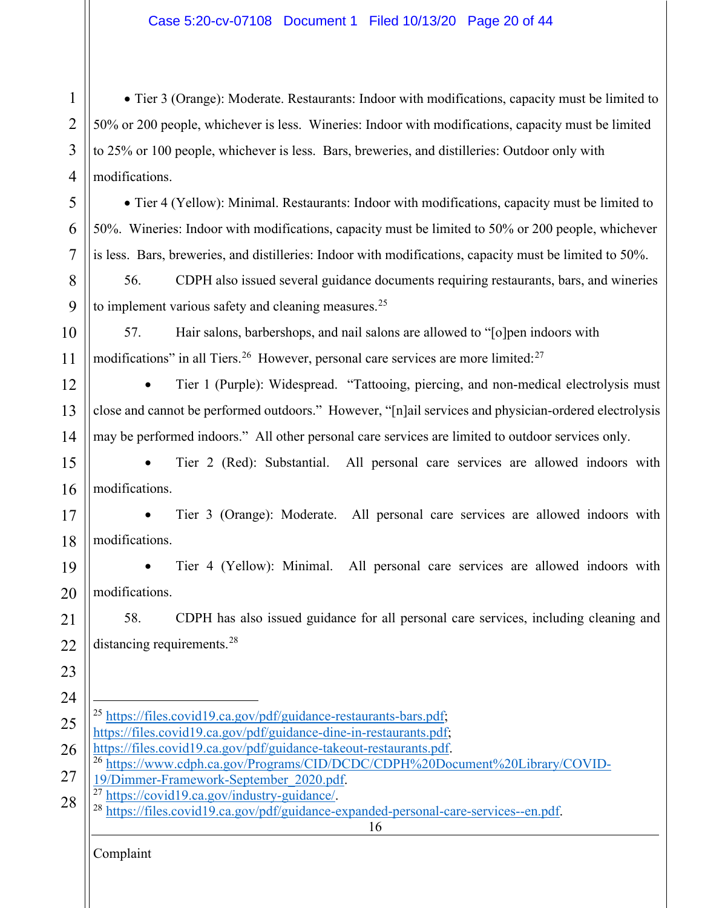• Tier 3 (Orange): Moderate. Restaurants: Indoor with modifications, capacity must be limited to 50% or 200 people, whichever is less. Wineries: Indoor with modifications, capacity must be limited to 25% or 100 people, whichever is less. Bars, breweries, and distilleries: Outdoor only with modifications.

• Tier 4 (Yellow): Minimal. Restaurants: Indoor with modifications, capacity must be limited to 50%. Wineries: Indoor with modifications, capacity must be limited to 50% or 200 people, whichever is less. Bars, breweries, and distilleries: Indoor with modifications, capacity must be limited to 50%.

8 9 56. CDPH also issued several guidance documents requiring restaurants, bars, and wineries to implement various safety and cleaning measures. $^{25}$  $^{25}$  $^{25}$ 

57. Hair salons, barbershops, and nail salons are allowed to "[o]pen indoors with modifications" in all Tiers.<sup>[26](#page-19-1)</sup> However, personal care services are more limited:<sup>[27](#page-19-2)</sup>

12 13 14 • Tier 1 (Purple): Widespread. "Tattooing, piercing, and non-medical electrolysis must close and cannot be performed outdoors." However, "[n]ail services and physician-ordered electrolysis may be performed indoors." All other personal care services are limited to outdoor services only.

15 16 • Tier 2 (Red): Substantial. All personal care services are allowed indoors with modifications.

17 18 • Tier 3 (Orange): Moderate. All personal care services are allowed indoors with modifications.

19 20 • Tier 4 (Yellow): Minimal. All personal care services are allowed indoors with modifications.

21 22 58. CDPH has also issued guidance for all personal care services, including cleaning and distancing requirements.<sup>[28](#page-19-3)</sup>

- <span id="page-19-0"></span>24 25 26 <sup>25</sup> [https://files.covid19.ca.gov/pdf/guidance-restaurants-bars.pdf;](https://files.covid19.ca.gov/pdf/guidance-restaurants-bars.pdf) [https://files.covid19.ca.gov/pdf/guidance-dine-in-restaurants.pdf;](https://files.covid19.ca.gov/pdf/guidance-dine-in-restaurants.pdf) [https://files.covid19.ca.gov/pdf/guidance-takeout-restaurants.pdf.](https://files.covid19.ca.gov/pdf/guidance-takeout-restaurants.pdf)
- <span id="page-19-1"></span><sup>26</sup> [https://www.cdph.ca.gov/Programs/CID/DCDC/CDPH%20Document%20Library/COVID-](https://www.cdph.ca.gov/Programs/CID/DCDC/CDPH%20Document%20Library/COVID-19/Dimmer-Framework-September_2020.pdf)
- 27 [19/Dimmer-Framework-September\\_2020.pdf.](https://www.cdph.ca.gov/Programs/CID/DCDC/CDPH%20Document%20Library/COVID-19/Dimmer-Framework-September_2020.pdf)<br><sup>27</sup> https://covid19.ca.gov/industry-guidance/
- <span id="page-19-3"></span><span id="page-19-2"></span>28 <sup>27</sup> [https://covid19.ca.gov/industry-guidance/.](https://covid19.ca.gov/industry-guidance/) <sup>28</sup> [https://files.covid19.ca.gov/pdf/guidance-expanded-personal-care-services--en.pdf.](https://files.covid19.ca.gov/pdf/guidance-expanded-personal-care-services--en.pdf)

Complaint

1

2

3

4

5

6

7

10

11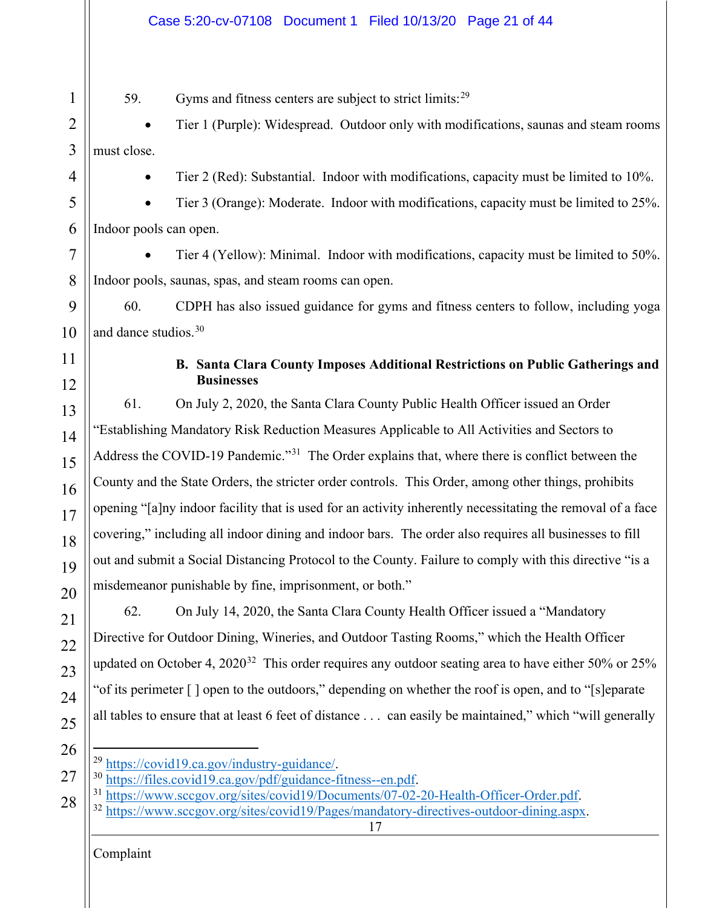<span id="page-20-0"></span>

|                | Case 5:20-cv-07108  Document 1  Filed 10/13/20  Page 21 of 44                                                                        |
|----------------|--------------------------------------------------------------------------------------------------------------------------------------|
| 1              | Gyms and fitness centers are subject to strict limits: <sup>29</sup><br>59.                                                          |
| $\overline{2}$ | Tier 1 (Purple): Widespread. Outdoor only with modifications, saunas and steam rooms                                                 |
| 3              | must close.                                                                                                                          |
| 4              | Tier 2 (Red): Substantial. Indoor with modifications, capacity must be limited to 10%.                                               |
| 5              | Tier 3 (Orange): Moderate. Indoor with modifications, capacity must be limited to 25%.                                               |
| 6              | Indoor pools can open.                                                                                                               |
| 7              | Tier 4 (Yellow): Minimal. Indoor with modifications, capacity must be limited to 50%.                                                |
| 8              | Indoor pools, saunas, spas, and steam rooms can open.                                                                                |
| 9              | CDPH has also issued guidance for gyms and fitness centers to follow, including yoga<br>60.                                          |
| 10             | and dance studios. <sup>30</sup>                                                                                                     |
| 11<br>12       | B. Santa Clara County Imposes Additional Restrictions on Public Gatherings and<br><b>Businesses</b>                                  |
| 13             | On July 2, 2020, the Santa Clara County Public Health Officer issued an Order<br>61.                                                 |
| 14             | "Establishing Mandatory Risk Reduction Measures Applicable to All Activities and Sectors to                                          |
| 15             | Address the COVID-19 Pandemic." <sup>31</sup> The Order explains that, where there is conflict between the                           |
| 16             | County and the State Orders, the stricter order controls. This Order, among other things, prohibits                                  |
| 17             | opening "[a]ny indoor facility that is used for an activity inherently necessitating the removal of a face                           |
| 18             | covering," including all indoor dining and indoor bars. The order also requires all businesses to fill                               |
| 19             | out and submit a Social Distancing Protocol to the County. Failure to comply with this directive "is a                               |
| 20             | misdemeanor punishable by fine, imprisonment, or both."                                                                              |
| 21             | 62.<br>On July 14, 2020, the Santa Clara County Health Officer issued a "Mandatory"                                                  |
| 22             | Directive for Outdoor Dining, Wineries, and Outdoor Tasting Rooms," which the Health Officer                                         |
| 23             | updated on October 4, $2020^{32}$ This order requires any outdoor seating area to have either 50% or 25%                             |
| 24             | "of its perimeter [] open to the outdoors," depending on whether the roof is open, and to "[s]eparate                                |
| 25             | all tables to ensure that at least 6 feet of distance can easily be maintained," which "will generally                               |
| 26             |                                                                                                                                      |
| 27             | <sup>29</sup> https://covid19.ca.gov/industry-guidance/.<br><sup>30</sup> https://files.covid19.ca.gov/pdf/guidance-fitness--en.pdf. |
| 28             | <sup>31</sup> https://www.sccgov.org/sites/covid19/Documents/07-02-20-Health-Officer-Order.pdf.                                      |

Complaint

<span id="page-20-4"></span><span id="page-20-3"></span><span id="page-20-2"></span><span id="page-20-1"></span><sup>28</sup> <sup>32</sup> [https://www.sccgov.org/sites/covid19/Pages/mandatory-directives-outdoor-dining.aspx.](https://www.sccgov.org/sites/covid19/Pages/mandatory-directives-outdoor-dining.aspx)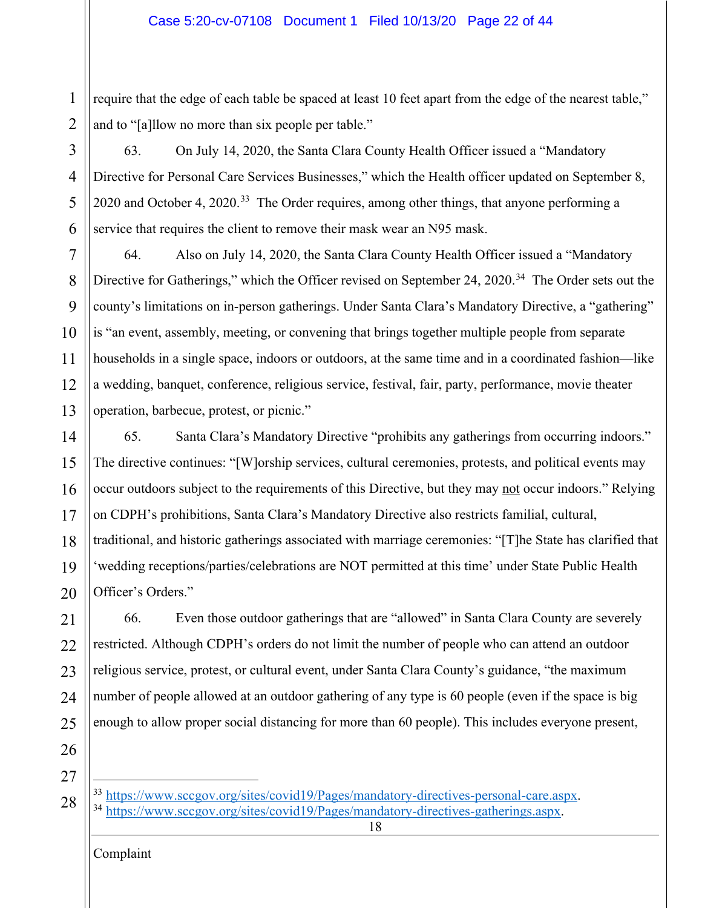1 2 require that the edge of each table be spaced at least 10 feet apart from the edge of the nearest table," and to "[a]llow no more than six people per table."

3 5 6 63. On July 14, 2020, the Santa Clara County Health Officer issued a "Mandatory Directive for Personal Care Services Businesses," which the Health officer updated on September 8, 2020 and October 4, 2020.<sup>33</sup> The Order requires, among other things, that anyone performing a service that requires the client to remove their mask wear an N95 mask.

7 8 9 10 11 12 13 64. Also on July 14, 2020, the Santa Clara County Health Officer issued a "Mandatory Directive for Gatherings," which the Officer revised on September 24, 2020.<sup>[34](#page-21-1)</sup> The Order sets out the county's limitations on in-person gatherings. Under Santa Clara's Mandatory Directive, a "gathering" is "an event, assembly, meeting, or convening that brings together multiple people from separate households in a single space, indoors or outdoors, at the same time and in a coordinated fashion—like a wedding, banquet, conference, religious service, festival, fair, party, performance, movie theater operation, barbecue, protest, or picnic."

14 15 16 17 18 19 20 65. Santa Clara's Mandatory Directive "prohibits any gatherings from occurring indoors." The directive continues: "[W]orship services, cultural ceremonies, protests, and political events may occur outdoors subject to the requirements of this Directive, but they may not occur indoors." Relying on CDPH's prohibitions, Santa Clara's Mandatory Directive also restricts familial, cultural, traditional, and historic gatherings associated with marriage ceremonies: "[T]he State has clarified that 'wedding receptions/parties/celebrations are NOT permitted at this time' under State Public Health Officer's Orders."

21 22 23 24 25 66. Even those outdoor gatherings that are "allowed" in Santa Clara County are severely restricted. Although CDPH's orders do not limit the number of people who can attend an outdoor religious service, protest, or cultural event, under Santa Clara County's guidance, "the maximum number of people allowed at an outdoor gathering of any type is 60 people (even if the space is big enough to allow proper social distancing for more than 60 people). This includes everyone present,

26 27

4

<span id="page-21-1"></span><span id="page-21-0"></span><sup>28</sup>  $\frac{33 \text{ https://www.sccgov.org/sites/covid19/Pages/mandatory-directives-personal-care.argv.}}{34 \text{ https://www.sccgov.org/sites/covid19/Pages/mandatory-directives-oatherinos asny.}}$ [https://www.sccgov.org/sites/covid19/Pages/mandatory-directives-gatherings.aspx.](https://www.sccgov.org/sites/covid19/Pages/mandatory-directives-gatherings.aspx)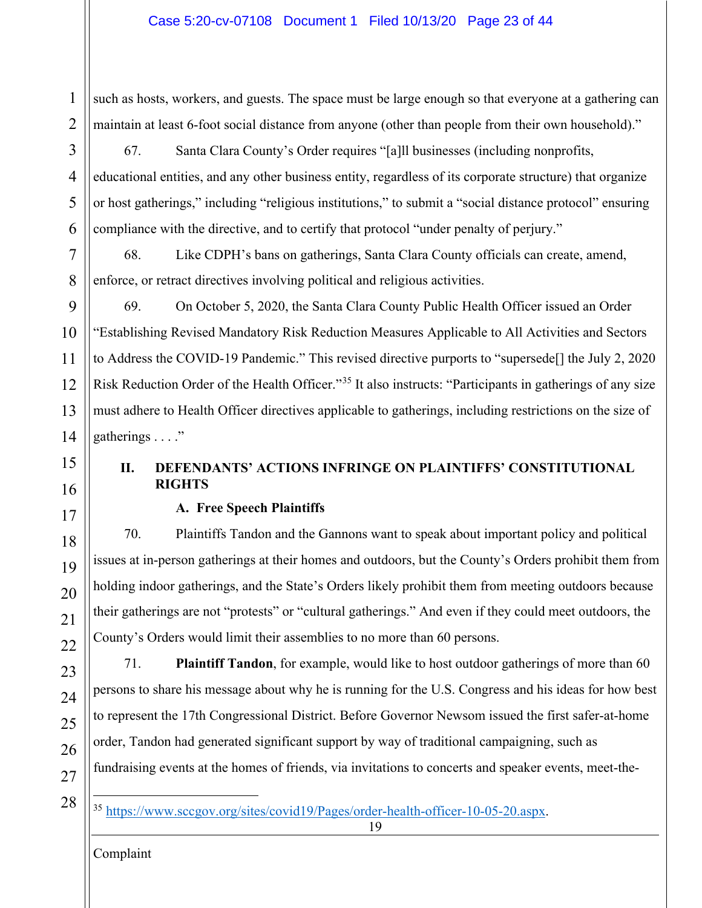2 such as hosts, workers, and guests. The space must be large enough so that everyone at a gathering can maintain at least 6-foot social distance from anyone (other than people from their own household)."

8

1

3

67. Santa Clara County's Order requires "[a]ll businesses (including nonprofits, educational entities, and any other business entity, regardless of its corporate structure) that organize or host gatherings," including "religious institutions," to submit a "social distance protocol" ensuring compliance with the directive, and to certify that protocol "under penalty of perjury."

68. Like CDPH's bans on gatherings, Santa Clara County officials can create, amend, enforce, or retract directives involving political and religious activities.

9 10 11 12 13 14 69. On October 5, 2020, the Santa Clara County Public Health Officer issued an Order "Establishing Revised Mandatory Risk Reduction Measures Applicable to All Activities and Sectors to Address the COVID-19 Pandemic." This revised directive purports to "supersede[] the July 2, 2020 Risk Reduction Order of the Health Officer."[35](#page-22-2) It also instructs: "Participants in gatherings of any size must adhere to Health Officer directives applicable to gatherings, including restrictions on the size of gatherings  $\dots$ ."

# <span id="page-22-0"></span>15 16

17

18

19

20

21

22

23

24

25

26

# **II. DEFENDANTS' ACTIONS INFRINGE ON PLAINTIFFS' CONSTITUTIONAL RIGHTS**

# **A. Free Speech Plaintiffs**

<span id="page-22-1"></span>70. Plaintiffs Tandon and the Gannons want to speak about important policy and political issues at in-person gatherings at their homes and outdoors, but the County's Orders prohibit them from holding indoor gatherings, and the State's Orders likely prohibit them from meeting outdoors because their gatherings are not "protests" or "cultural gatherings." And even if they could meet outdoors, the County's Orders would limit their assemblies to no more than 60 persons.

71. **Plaintiff Tandon**, for example, would like to host outdoor gatherings of more than 60 persons to share his message about why he is running for the U.S. Congress and his ideas for how best to represent the 17th Congressional District. Before Governor Newsom issued the first safer-at-home order, Tandon had generated significant support by way of traditional campaigning, such as fundraising events at the homes of friends, via invitations to concerts and speaker events, meet-the-

<span id="page-22-2"></span>27 28

<sup>35</sup> [https://www.sccgov.org/sites/covid19/Pages/order-health-officer-10-05-20.aspx.](https://www.sccgov.org/sites/covid19/Pages/order-health-officer-10-05-20.aspx)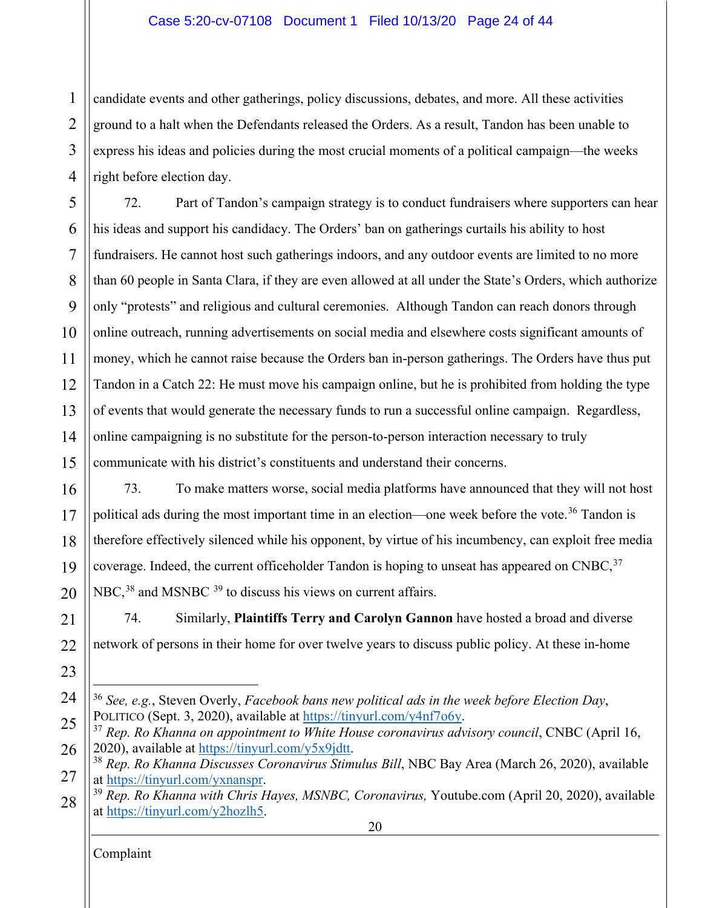### Case 5:20-cv-07108 Document 1 Filed 10/13/20 Page 24 of 44

1 2 3 4 candidate events and other gatherings, policy discussions, debates, and more. All these activities ground to a halt when the Defendants released the Orders. As a result, Tandon has been unable to express his ideas and policies during the most crucial moments of a political campaign—the weeks right before election day.

5 6 7 8 9 10 11 12 13 14 15 72. Part of Tandon's campaign strategy is to conduct fundraisers where supporters can hear his ideas and support his candidacy. The Orders' ban on gatherings curtails his ability to host fundraisers. He cannot host such gatherings indoors, and any outdoor events are limited to no more than 60 people in Santa Clara, if they are even allowed at all under the State's Orders, which authorize only "protests" and religious and cultural ceremonies. Although Tandon can reach donors through online outreach, running advertisements on social media and elsewhere costs significant amounts of money, which he cannot raise because the Orders ban in-person gatherings. The Orders have thus put Tandon in a Catch 22: He must move his campaign online, but he is prohibited from holding the type of events that would generate the necessary funds to run a successful online campaign. Regardless, online campaigning is no substitute for the person-to-person interaction necessary to truly communicate with his district's constituents and understand their concerns.

16 17 18 19 20 73. To make matters worse, social media platforms have announced that they will not host political ads during the most important time in an election—one week before the vote.<sup>[36](#page-23-0)</sup> Tandon is therefore effectively silenced while his opponent, by virtue of his incumbency, can exploit free media coverage. Indeed, the current officeholder Tandon is hoping to unseat has appeared on  $CNBC$ ,  $37$ NBC,<sup>[38](#page-23-2)</sup> and MSNBC <sup>[39](#page-23-3)</sup> to discuss his views on current affairs.

21 22 74. Similarly, **Plaintiffs Terry and Carolyn Gannon** have hosted a broad and diverse network of persons in their home for over twelve years to discuss public policy. At these in-home

<span id="page-23-0"></span><sup>24</sup> <sup>36</sup> *See, e.g.*, Steven Overly, *Facebook bans new political ads in the week before Election Day*, POLITICO (Sept. 3, 2020), available at <u>https://tinyurl.com/y4nf7o6y</u>.<br><sup>37</sup> *Rep. Ro Khanna on appointment to White House coronavirus advisory council*, CNBC (April 16,

<span id="page-23-1"></span><sup>25</sup> 26 2020), available at [https://tinyurl.com/y5x9jdtt.](https://tinyurl.com/y5x9jdtt)

<span id="page-23-2"></span><sup>27</sup> <sup>38</sup> *Rep. Ro Khanna Discusses Coronavirus Stimulus Bill*, NBC Bay Area (March 26, 2020), available at [https://tinyurl.com/yxnanspr.](https://tinyurl.com/yxnanspr)

<span id="page-23-3"></span><sup>20</sup> 28 <sup>39</sup> *Rep. Ro Khanna with Chris Hayes, MSNBC, Coronavirus,* Youtube.com (April 20, 2020), available at [https://tinyurl.com/y2hozlh5.](https://tinyurl.com/y2hozlh5)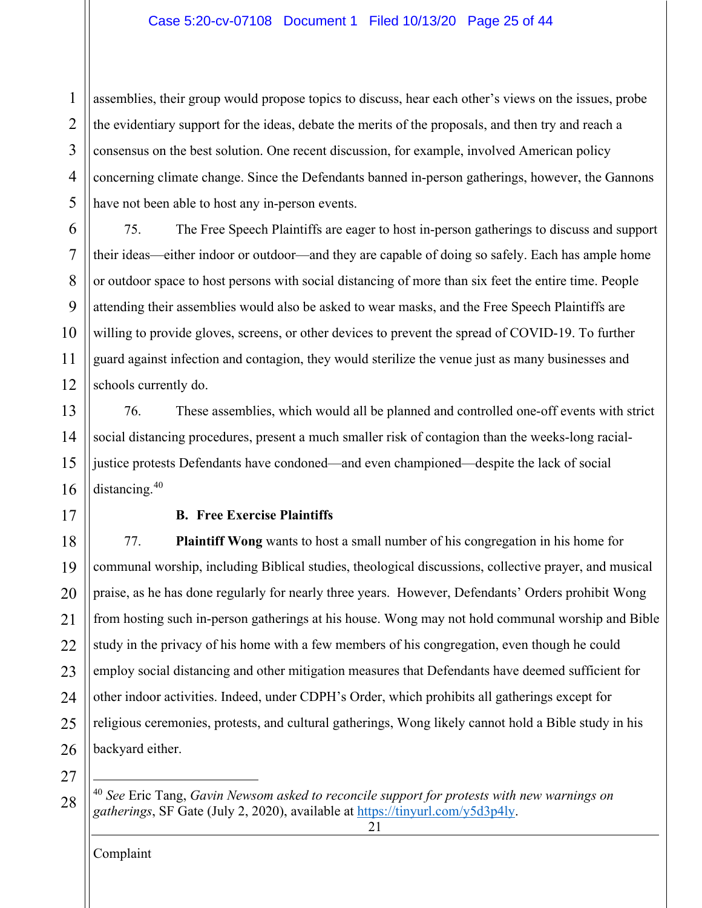#### Case 5:20-cv-07108 Document 1 Filed 10/13/20 Page 25 of 44

1 2 3 4 5 assemblies, their group would propose topics to discuss, hear each other's views on the issues, probe the evidentiary support for the ideas, debate the merits of the proposals, and then try and reach a consensus on the best solution. One recent discussion, for example, involved American policy concerning climate change. Since the Defendants banned in-person gatherings, however, the Gannons have not been able to host any in-person events.

6 7 8 9 10 11 12 75. The Free Speech Plaintiffs are eager to host in-person gatherings to discuss and support their ideas—either indoor or outdoor—and they are capable of doing so safely. Each has ample home or outdoor space to host persons with social distancing of more than six feet the entire time. People attending their assemblies would also be asked to wear masks, and the Free Speech Plaintiffs are willing to provide gloves, screens, or other devices to prevent the spread of COVID-19. To further guard against infection and contagion, they would sterilize the venue just as many businesses and schools currently do.

13 14 15 16 76. These assemblies, which would all be planned and controlled one-off events with strict social distancing procedures, present a much smaller risk of contagion than the weeks-long racialjustice protests Defendants have condoned—and even championed—despite the lack of social distancing.<sup>[40](#page-24-1)</sup>

<span id="page-24-0"></span>17

#### **B. Free Exercise Plaintiffs**

18 19 20 21 22 23 24 25 26 77. **Plaintiff Wong** wants to host a small number of his congregation in his home for communal worship, including Biblical studies, theological discussions, collective prayer, and musical praise, as he has done regularly for nearly three years. However, Defendants' Orders prohibit Wong from hosting such in-person gatherings at his house. Wong may not hold communal worship and Bible study in the privacy of his home with a few members of his congregation, even though he could employ social distancing and other mitigation measures that Defendants have deemed sufficient for other indoor activities. Indeed, under CDPH's Order, which prohibits all gatherings except for religious ceremonies, protests, and cultural gatherings, Wong likely cannot hold a Bible study in his backyard either.

27

<span id="page-24-1"></span>28 <sup>40</sup> *See* Eric Tang, *Gavin Newsom asked to reconcile support for protests with new warnings on gatherings*, SF Gate (July 2, 2020), available at [https://tinyurl.com/y5d3p4ly.](https://tinyurl.com/y5d3p4ly)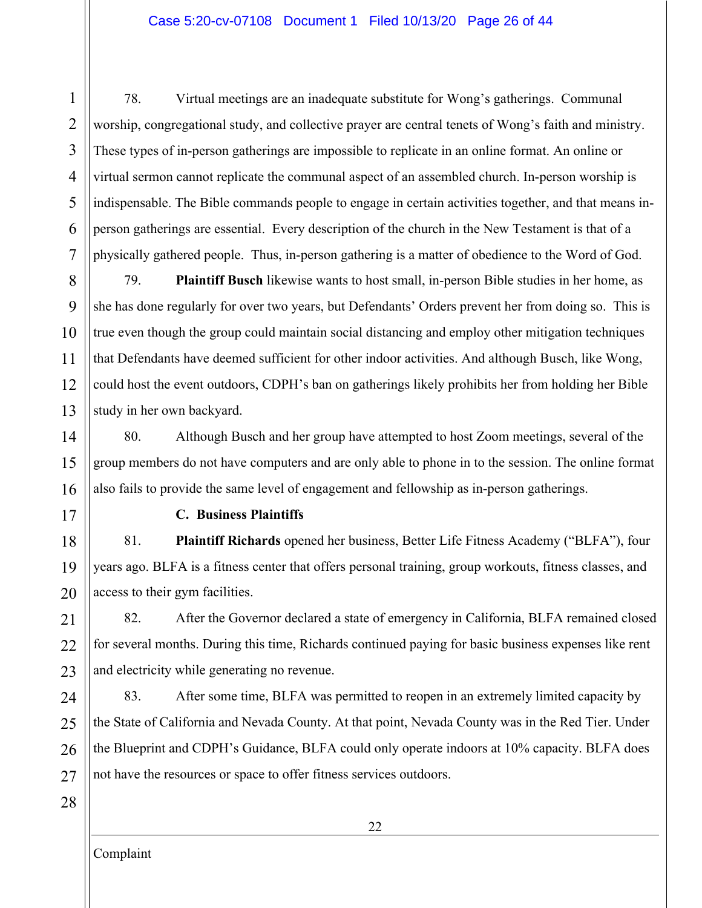#### Case 5:20-cv-07108 Document 1 Filed 10/13/20 Page 26 of 44

1 2 3 4 5 6 7 78. Virtual meetings are an inadequate substitute for Wong's gatherings. Communal worship, congregational study, and collective prayer are central tenets of Wong's faith and ministry. These types of in-person gatherings are impossible to replicate in an online format. An online or virtual sermon cannot replicate the communal aspect of an assembled church. In-person worship is indispensable. The Bible commands people to engage in certain activities together, and that means inperson gatherings are essential. Every description of the church in the New Testament is that of a physically gathered people. Thus, in-person gathering is a matter of obedience to the Word of God.

8 9 10 11 12 13 79. **Plaintiff Busch** likewise wants to host small, in-person Bible studies in her home, as she has done regularly for over two years, but Defendants' Orders prevent her from doing so. This is true even though the group could maintain social distancing and employ other mitigation techniques that Defendants have deemed sufficient for other indoor activities. And although Busch, like Wong, could host the event outdoors, CDPH's ban on gatherings likely prohibits her from holding her Bible study in her own backyard.

14 15 16 80. Although Busch and her group have attempted to host Zoom meetings, several of the group members do not have computers and are only able to phone in to the session. The online format also fails to provide the same level of engagement and fellowship as in-person gatherings.

## **C. Business Plaintiffs**

18 19 20 81. **Plaintiff Richards** opened her business, Better Life Fitness Academy ("BLFA"), four years ago. BLFA is a fitness center that offers personal training, group workouts, fitness classes, and access to their gym facilities.

21 22 23 82. After the Governor declared a state of emergency in California, BLFA remained closed for several months. During this time, Richards continued paying for basic business expenses like rent and electricity while generating no revenue.

24 25 26 27 83. After some time, BLFA was permitted to reopen in an extremely limited capacity by the State of California and Nevada County. At that point, Nevada County was in the Red Tier. Under the Blueprint and CDPH's Guidance, BLFA could only operate indoors at 10% capacity. BLFA does not have the resources or space to offer fitness services outdoors.

28

<span id="page-25-0"></span>17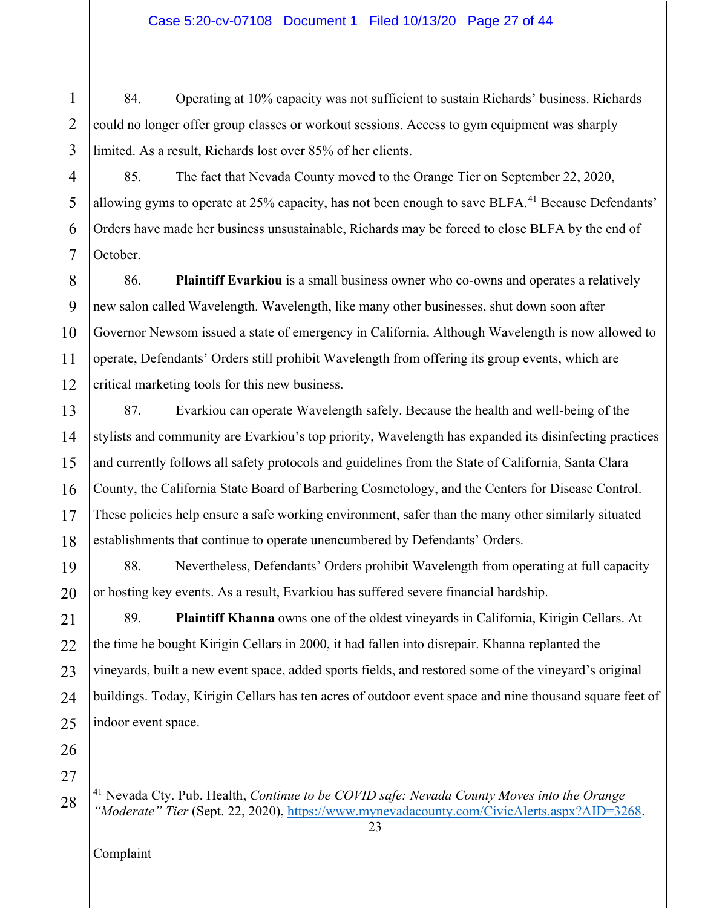1 2 3 84. Operating at 10% capacity was not sufficient to sustain Richards' business. Richards could no longer offer group classes or workout sessions. Access to gym equipment was sharply limited. As a result, Richards lost over 85% of her clients.

4 5 6 7 85. The fact that Nevada County moved to the Orange Tier on September 22, 2020, allowing gyms to operate at 25% capacity, has not been enough to save BLFA.<sup>[41](#page-26-0)</sup> Because Defendants' Orders have made her business unsustainable, Richards may be forced to close BLFA by the end of October.

8 9 10 11 12 86. **Plaintiff Evarkiou** is a small business owner who co-owns and operates a relatively new salon called Wavelength. Wavelength, like many other businesses, shut down soon after Governor Newsom issued a state of emergency in California. Although Wavelength is now allowed to operate, Defendants' Orders still prohibit Wavelength from offering its group events, which are critical marketing tools for this new business.

13 14 15 16 17 18 87. Evarkiou can operate Wavelength safely. Because the health and well-being of the stylists and community are Evarkiou's top priority, Wavelength has expanded its disinfecting practices and currently follows all safety protocols and guidelines from the State of California, Santa Clara County, the California State Board of Barbering Cosmetology, and the Centers for Disease Control. These policies help ensure a safe working environment, safer than the many other similarly situated establishments that continue to operate unencumbered by Defendants' Orders.

19 20 88. Nevertheless, Defendants' Orders prohibit Wavelength from operating at full capacity or hosting key events. As a result, Evarkiou has suffered severe financial hardship.

21 22 23 24 25 89. **Plaintiff Khanna** owns one of the oldest vineyards in California, Kirigin Cellars. At the time he bought Kirigin Cellars in 2000, it had fallen into disrepair. Khanna replanted the vineyards, built a new event space, added sports fields, and restored some of the vineyard's original buildings. Today, Kirigin Cellars has ten acres of outdoor event space and nine thousand square feet of indoor event space.

26 27

<span id="page-26-0"></span>28

<sup>41</sup> Nevada Cty. Pub. Health, *Continue to be COVID safe: Nevada County Moves into the Orange "Moderate" Tier* (Sept. 22, 2020), [https://www.mynevadacounty.com/CivicAlerts.aspx?AID=3268.](https://www.mynevadacounty.com/CivicAlerts.aspx?AID=3268)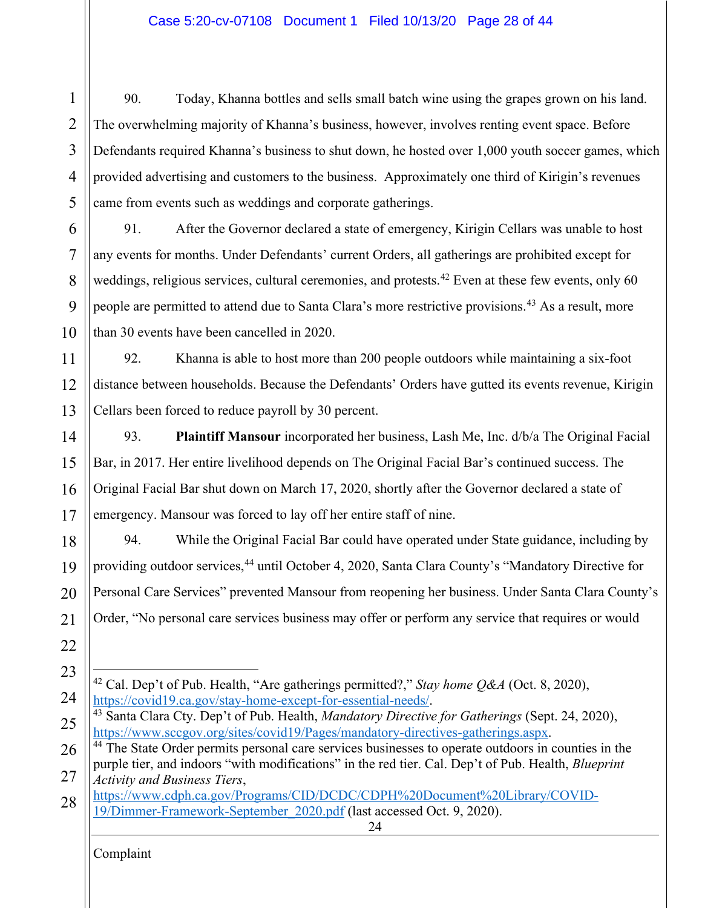#### Case 5:20-cv-07108 Document 1 Filed 10/13/20 Page 28 of 44

1 2 3 4 5 90. Today, Khanna bottles and sells small batch wine using the grapes grown on his land. The overwhelming majority of Khanna's business, however, involves renting event space. Before Defendants required Khanna's business to shut down, he hosted over 1,000 youth soccer games, which provided advertising and customers to the business. Approximately one third of Kirigin's revenues came from events such as weddings and corporate gatherings.

6 7 8 9 10 91. After the Governor declared a state of emergency, Kirigin Cellars was unable to host any events for months. Under Defendants' current Orders, all gatherings are prohibited except for weddings, religious services, cultural ceremonies, and protests.<sup>[42](#page-27-0)</sup> Even at these few events, only 60 people are permitted to attend due to Santa Clara's more restrictive provisions.<sup>[43](#page-27-1)</sup> As a result, more than 30 events have been cancelled in 2020.

11 12 13 92. Khanna is able to host more than 200 people outdoors while maintaining a six-foot distance between households. Because the Defendants' Orders have gutted its events revenue, Kirigin Cellars been forced to reduce payroll by 30 percent.

14 15 16 17 93. **Plaintiff Mansour** incorporated her business, Lash Me, Inc. d/b/a The Original Facial Bar, in 2017. Her entire livelihood depends on The Original Facial Bar's continued success. The Original Facial Bar shut down on March 17, 2020, shortly after the Governor declared a state of emergency. Mansour was forced to lay off her entire staff of nine.

18 19 20 21 94. While the Original Facial Bar could have operated under State guidance, including by providing outdoor services,<sup>[44](#page-27-2)</sup> until October 4, 2020, Santa Clara County's "Mandatory Directive for Personal Care Services" prevented Mansour from reopening her business. Under Santa Clara County's Order, "No personal care services business may offer or perform any service that requires or would

<span id="page-27-1"></span>24

<sup>42</sup> Cal. Dep't of Pub. Health, "Are gatherings permitted?," *Stay home Q&A* (Oct. 8, 2020),

<sup>22</sup> 23

<span id="page-27-0"></span>

<sup>25</sup> [https://covid19.ca.gov/stay-home-except-for-essential-needs/.](https://covid19.ca.gov/stay-home-except-for-essential-needs/) 43 Santa Clara Cty. Dep't of Pub. Health, *Mandatory Directive for Gatherings* (Sept. 24, 2020),

<span id="page-27-2"></span><sup>26</sup> 27 <sup>44</sup> The State Order permits personal care services businesses to operate outdoors in counties in the purple tier, and indoors "with modifications" in the red tier. Cal. Dep't of Pub. Health, *Blueprint Activity and Business Tiers*,

<sup>28</sup> [https://www.cdph.ca.gov/Programs/CID/DCDC/CDPH%20Document%20Library/COVID-](https://www.cdph.ca.gov/Programs/CID/DCDC/CDPH%20Document%20Library/COVID-19/Dimmer-Framework-September_2020.pdf)[19/Dimmer-Framework-September\\_2020.pdf](https://www.cdph.ca.gov/Programs/CID/DCDC/CDPH%20Document%20Library/COVID-19/Dimmer-Framework-September_2020.pdf) (last accessed Oct. 9, 2020).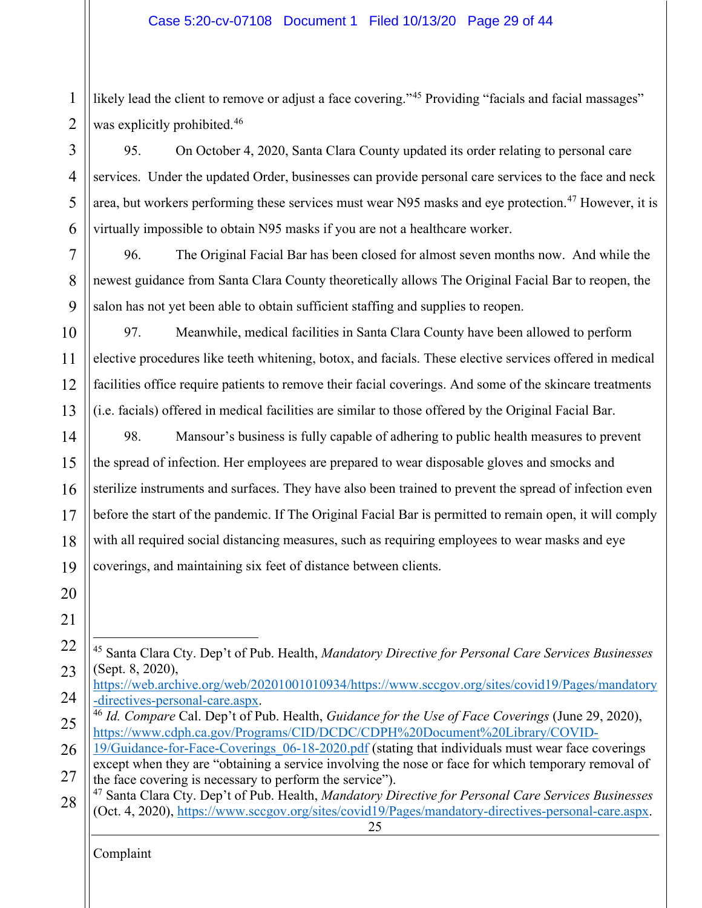1 2 likely lead the client to remove or adjust a face covering."<sup>[45](#page-28-0)</sup> Providing "facials and facial massages" was explicitly prohibited.<sup>[46](#page-28-1)</sup>

3 4 5 6 95. On October 4, 2020, Santa Clara County updated its order relating to personal care services. Under the updated Order, businesses can provide personal care services to the face and neck area, but workers performing these services must wear N95 masks and eye protection. [47](#page-28-2) However, it is virtually impossible to obtain N95 masks if you are not a healthcare worker.

96. The Original Facial Bar has been closed for almost seven months now. And while the newest guidance from Santa Clara County theoretically allows The Original Facial Bar to reopen, the salon has not yet been able to obtain sufficient staffing and supplies to reopen.

10 11 12 13 97. Meanwhile, medical facilities in Santa Clara County have been allowed to perform elective procedures like teeth whitening, botox, and facials. These elective services offered in medical facilities office require patients to remove their facial coverings. And some of the skincare treatments (i.e. facials) offered in medical facilities are similar to those offered by the Original Facial Bar.

14 15 16 17 18 19 98. Mansour's business is fully capable of adhering to public health measures to prevent the spread of infection. Her employees are prepared to wear disposable gloves and smocks and sterilize instruments and surfaces. They have also been trained to prevent the spread of infection even before the start of the pandemic. If The Original Facial Bar is permitted to remain open, it will comply with all required social distancing measures, such as requiring employees to wear masks and eye coverings, and maintaining six feet of distance between clients.

20 21

7

8

9

<span id="page-28-0"></span><sup>22</sup> 23 <sup>45</sup> Santa Clara Cty. Dep't of Pub. Health, *Mandatory Directive for Personal Care Services Businesses* (Sept. 8, 2020),

<sup>24</sup> [https://web.archive.org/web/20201001010934/https://www.sccgov.org/sites/covid19/Pages/mandatory](https://web.archive.org/web/20201001010934/https:/www.sccgov.org/sites/covid19/Pages/mandatory-directives-personal-care.aspx) [-directives-personal-care.aspx.](https://web.archive.org/web/20201001010934/https:/www.sccgov.org/sites/covid19/Pages/mandatory-directives-personal-care.aspx) 46 *Id. Compare* Cal. Dep't of Pub. Health, *Guidance for the Use of Face Coverings* (June 29, 2020),

<span id="page-28-1"></span><sup>25</sup> [https://www.cdph.ca.gov/Programs/CID/DCDC/CDPH%20Document%20Library/COVID-](https://www.cdph.ca.gov/Programs/CID/DCDC/CDPH%20Document%20Library/COVID-19/Guidance-for-Face-Coverings_06-18-2020.pdf)

<sup>26</sup> 27 [19/Guidance-for-Face-Coverings\\_06-18-2020.pdf](https://www.cdph.ca.gov/Programs/CID/DCDC/CDPH%20Document%20Library/COVID-19/Guidance-for-Face-Coverings_06-18-2020.pdf) (stating that individuals must wear face coverings except when they are "obtaining a service involving the nose or face for which temporary removal of the face covering is necessary to perform the service").

<span id="page-28-2"></span><sup>28</sup> <sup>47</sup> Santa Clara Cty. Dep't of Pub. Health, *Mandatory Directive for Personal Care Services Businesses* (Oct. 4, 2020), [https://www.sccgov.org/sites/covid19/Pages/mandatory-directives-personal-care.aspx.](https://www.sccgov.org/sites/covid19/Pages/mandatory-directives-personal-care.aspx)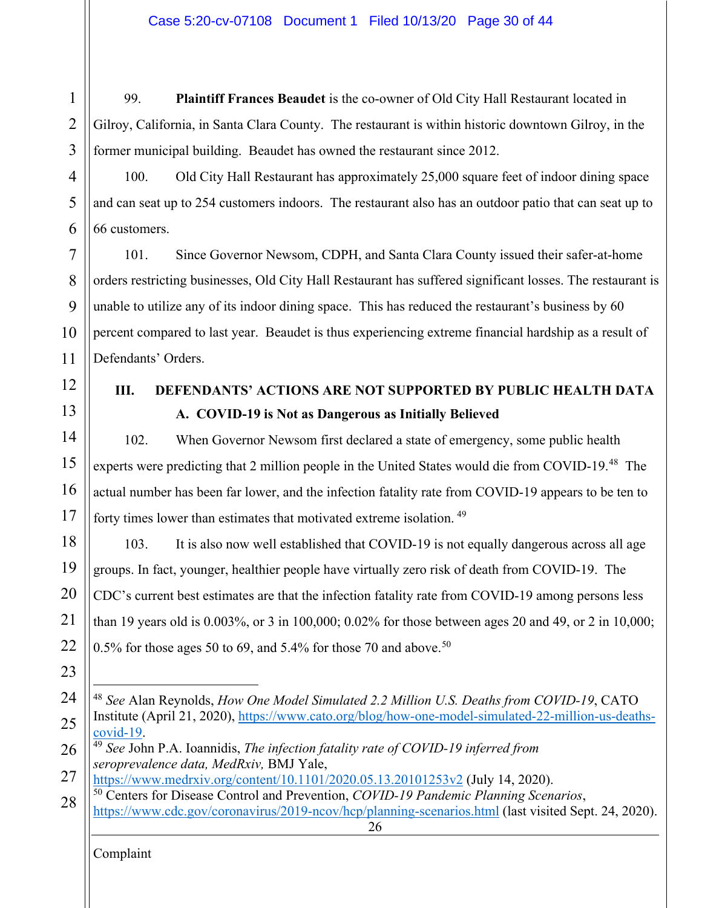1 2 3 99. **Plaintiff Frances Beaudet** is the co-owner of Old City Hall Restaurant located in Gilroy, California, in Santa Clara County. The restaurant is within historic downtown Gilroy, in the former municipal building. Beaudet has owned the restaurant since 2012.

100. Old City Hall Restaurant has approximately 25,000 square feet of indoor dining space and can seat up to 254 customers indoors. The restaurant also has an outdoor patio that can seat up to 66 customers.

7 8 9 10 11 101. Since Governor Newsom, CDPH, and Santa Clara County issued their safer-at-home orders restricting businesses, Old City Hall Restaurant has suffered significant losses. The restaurant is unable to utilize any of its indoor dining space. This has reduced the restaurant's business by 60 percent compared to last year. Beaudet is thus experiencing extreme financial hardship as a result of Defendants' Orders.

12 13

4

5

6

# <span id="page-29-1"></span><span id="page-29-0"></span>**III. DEFENDANTS' ACTIONS ARE NOT SUPPORTED BY PUBLIC HEALTH DATA A. COVID-19 is Not as Dangerous as Initially Believed**

14 15 16 17 102. When Governor Newsom first declared a state of emergency, some public health experts were predicting that 2 million people in the United States would die from COVID-19.<sup>[48](#page-29-2)</sup> The actual number has been far lower, and the infection fatality rate from COVID-19 appears to be ten to forty times lower than estimates that motivated extreme isolation.<sup>[49](#page-29-3)</sup>

18 19 20 21 22 103. It is also now well established that COVID-19 is not equally dangerous across all age groups. In fact, younger, healthier people have virtually zero risk of death from COVID-19. The CDC's current best estimates are that the infection fatality rate from COVID-19 among persons less than 19 years old is 0.003%, or 3 in 100,000; 0.02% for those between ages 20 and 49, or 2 in 10,000; 0.5% for those ages [50](#page-29-4) to 69, and 5.4% for those 70 and above.<sup>50</sup>

- 23
- <span id="page-29-2"></span>24 25 <sup>48</sup> *See* Alan Reynolds, *How One Model Simulated 2.2 Million U.S. Deaths from COVID-19*, CATO Institute (April 21, 2020), [https://www.cato.org/blog/how-one-model-simulated-22-million-us-deaths](https://www.cato.org/blog/how-one-model-simulated-22-million-us-deaths-covid-19)[covid-19.](https://www.cato.org/blog/how-one-model-simulated-22-million-us-deaths-covid-19)
- <span id="page-29-3"></span>26 <sup>49</sup> *See* John P.A. Ioannidis, *The infection fatality rate of COVID-19 inferred from seroprevalence data, MedRxiv,* BMJ Yale,
- 27 <https://www.medrxiv.org/content/10.1101/2020.05.13.20101253v2> (July 14, 2020). <sup>50</sup> Centers for Disease Control and Prevention, *COVID-19 Pandemic Planning Scenarios*,
- <span id="page-29-4"></span>26 28 <https://www.cdc.gov/coronavirus/2019-ncov/hcp/planning-scenarios.html> (last visited Sept. 24, 2020).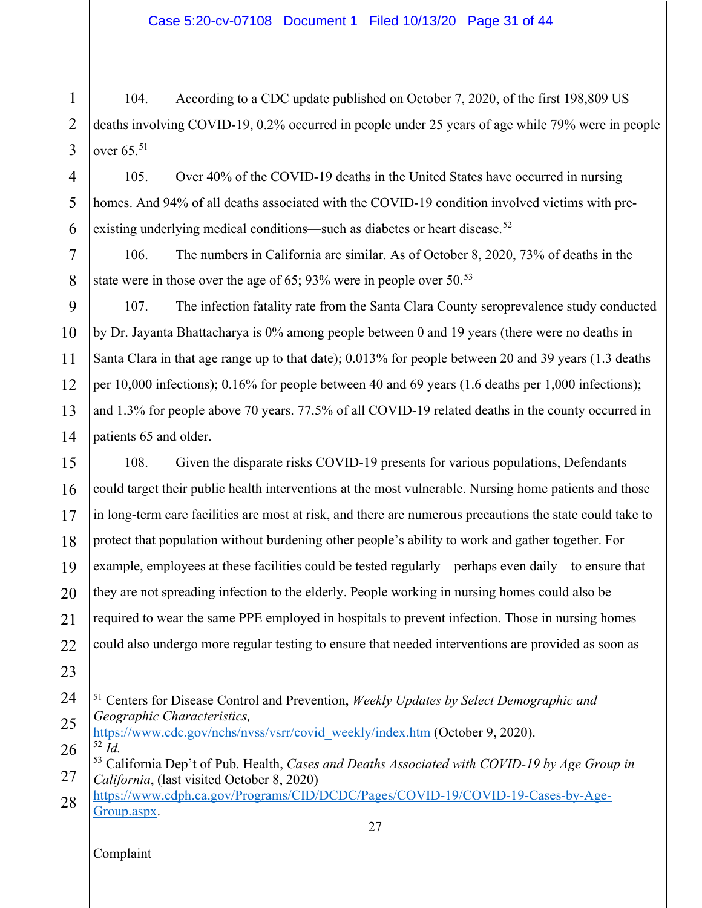1 2 3 104. According to a CDC update published on October 7, 2020, of the first 198,809 US deaths involving COVID-19, 0.2% occurred in people under 25 years of age while 79% were in people over  $65.^{51}$  $65.^{51}$  $65.^{51}$ 

4 5 6 105. Over 40% of the COVID-19 deaths in the United States have occurred in nursing homes. And 94% of all deaths associated with the COVID-19 condition involved victims with pre-existing underlying medical conditions—such as diabetes or heart disease.<sup>[52](#page-30-1)</sup>

106. The numbers in California are similar. As of October 8, 2020, 73% of deaths in the state were in those over the age of 65; 93% were in people over  $50^{5}$ .

9 10 11 12 13 14 107. The infection fatality rate from the Santa Clara County seroprevalence study conducted by Dr. Jayanta Bhattacharya is 0% among people between 0 and 19 years (there were no deaths in Santa Clara in that age range up to that date); 0.013% for people between 20 and 39 years (1.3 deaths per 10,000 infections); 0.16% for people between 40 and 69 years (1.6 deaths per 1,000 infections); and 1.3% for people above 70 years. 77.5% of all COVID-19 related deaths in the county occurred in patients 65 and older.

15 16 17 18 19 20 21 22 108. Given the disparate risks COVID-19 presents for various populations, Defendants could target their public health interventions at the most vulnerable. Nursing home patients and those in long-term care facilities are most at risk, and there are numerous precautions the state could take to protect that population without burdening other people's ability to work and gather together. For example, employees at these facilities could be tested regularly—perhaps even daily—to ensure that they are not spreading infection to the elderly. People working in nursing homes could also be required to wear the same PPE employed in hospitals to prevent infection. Those in nursing homes could also undergo more regular testing to ensure that needed interventions are provided as soon as

23

7

8

- <span id="page-30-0"></span>24 <sup>51</sup> Centers for Disease Control and Prevention, *Weekly Updates by Select Demographic and Geographic Characteristics,*
- 25 [https://www.cdc.gov/nchs/nvss/vsrr/covid\\_weekly/index.htm](https://www.cdc.gov/nchs/nvss/vsrr/covid_weekly/index.htm) (October 9, 2020).  $\overline{52}$   $\overline{Id}$ .

<span id="page-30-1"></span>26

27 28 [https://www.cdph.ca.gov/Programs/CID/DCDC/Pages/COVID-19/COVID-19-Cases-by-Age-](https://www.cdph.ca.gov/Programs/CID/DCDC/Pages/COVID-19/COVID-19-Cases-by-Age-Group.aspx)[Group.aspx.](https://www.cdph.ca.gov/Programs/CID/DCDC/Pages/COVID-19/COVID-19-Cases-by-Age-Group.aspx)

<span id="page-30-2"></span><sup>27</sup> <sup>53</sup> California Dep't of Pub. Health, *Cases and Deaths Associated with COVID-19 by Age Group in California*, (last visited October 8, 2020)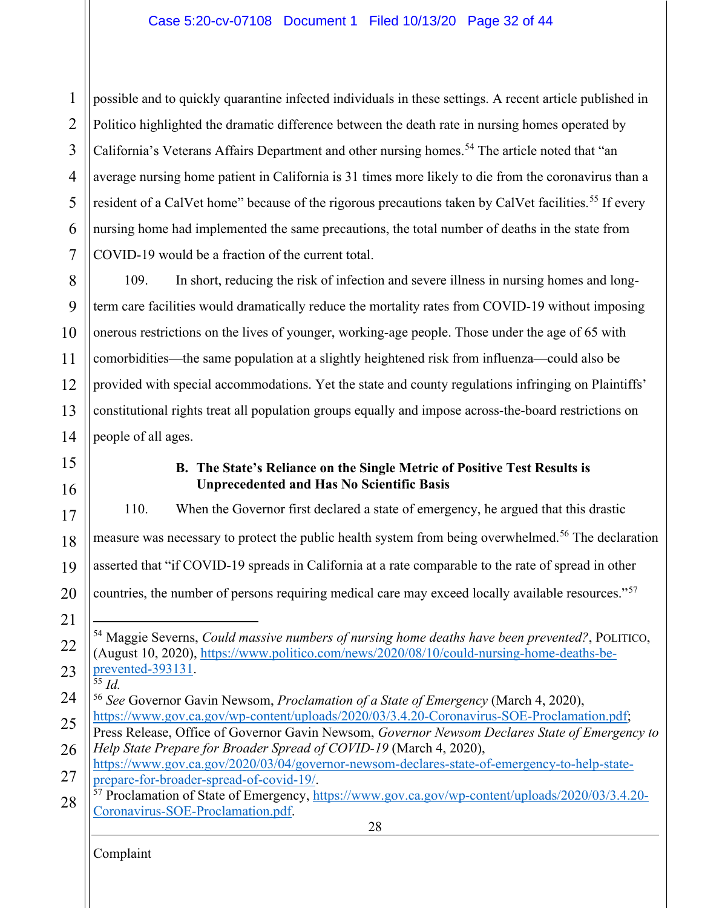1 2 3 4 5 6 7 possible and to quickly quarantine infected individuals in these settings. A recent article published in Politico highlighted the dramatic difference between the death rate in nursing homes operated by California's Veterans Affairs Department and other nursing homes.<sup>[54](#page-31-1)</sup> The article noted that "an average nursing home patient in California is 31 times more likely to die from the coronavirus than a resident of a CalVet home" because of the rigorous precautions taken by CalVet facilities.<sup>[55](#page-31-2)</sup> If every nursing home had implemented the same precautions, the total number of deaths in the state from COVID-19 would be a fraction of the current total.

8 9 10 11 12 13 14 109. In short, reducing the risk of infection and severe illness in nursing homes and longterm care facilities would dramatically reduce the mortality rates from COVID-19 without imposing onerous restrictions on the lives of younger, working-age people. Those under the age of 65 with comorbidities—the same population at a slightly heightened risk from influenza—could also be provided with special accommodations. Yet the state and county regulations infringing on Plaintiffs' constitutional rights treat all population groups equally and impose across-the-board restrictions on people of all ages.

# <span id="page-31-0"></span>15

16

## **B. The State's Reliance on the Single Metric of Positive Test Results is Unprecedented and Has No Scientific Basis**

<span id="page-31-2"></span><span id="page-31-1"></span>28 Complaint 17 18 19 20 21 22 23 24 25 26 27 28 110. When the Governor first declared a state of emergency, he argued that this drastic measure was necessary to protect the public health system from being overwhelmed.<sup>[56](#page-31-3)</sup> The declaration asserted that "if COVID-19 spreads in California at a rate comparable to the rate of spread in other countries, the number of persons requiring medical care may exceed locally available resources."<sup>[57](#page-31-4)</sup> <sup>54</sup> Maggie Severns, *Could massive numbers of nursing home deaths have been prevented?*, POLITICO, (August 10, 2020), [https://www.politico.com/news/2020/08/10/could-nursing-home-deaths-be](https://www.politico.com/news/2020/08/10/could-nursing-home-deaths-be-prevented-393131)[prevented-393131.](https://www.politico.com/news/2020/08/10/could-nursing-home-deaths-be-prevented-393131) 55 *Id.* <sup>56</sup> *See* Governor Gavin Newsom, *Proclamation of a State of Emergency* (March 4, 2020), [https://www.gov.ca.gov/wp-content/uploads/2020/03/3.4.20-Coronavirus-SOE-Proclamation.pdf;](https://www.gov.ca.gov/wp-content/uploads/2020/03/3.4.20-Coronavirus-SOE-Proclamation.pdf) Press Release, Office of Governor Gavin Newsom, *Governor Newsom Declares State of Emergency to Help State Prepare for Broader Spread of COVID-19* (March 4, 2020), [https://www.gov.ca.gov/2020/03/04/governor-newsom-declares-state-of-emergency-to-help-state](https://www.gov.ca.gov/2020/03/04/governor-newsom-declares-state-of-emergency-to-help-state-prepare-for-broader-spread-of-covid-19/)[prepare-for-broader-spread-of-covid-19/.](https://www.gov.ca.gov/2020/03/04/governor-newsom-declares-state-of-emergency-to-help-state-prepare-for-broader-spread-of-covid-19/) <sup>57</sup> Proclamation of State of Emergency, [https://www.gov.ca.gov/wp-content/uploads/2020/03/3.4.20-](https://www.gov.ca.gov/wp-content/uploads/2020/03/3.4.20-Coronavirus-SOE-Proclamation.pdf) [Coronavirus-SOE-Proclamation.pdf.](https://www.gov.ca.gov/wp-content/uploads/2020/03/3.4.20-Coronavirus-SOE-Proclamation.pdf)

<span id="page-31-4"></span><span id="page-31-3"></span>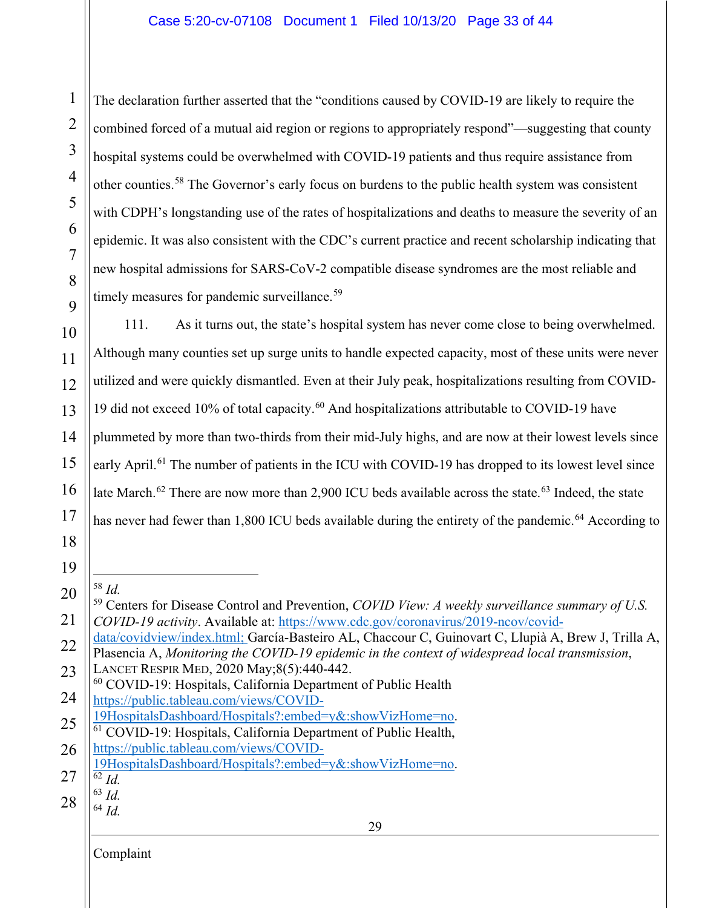The declaration further asserted that the "conditions caused by COVID-19 are likely to require the combined forced of a mutual aid region or regions to appropriately respond"—suggesting that county hospital systems could be overwhelmed with COVID-19 patients and thus require assistance from other counties.<sup>[58](#page-32-0)</sup> The Governor's early focus on burdens to the public health system was consistent with CDPH's longstanding use of the rates of hospitalizations and deaths to measure the severity of an epidemic. It was also consistent with the CDC's current practice and recent scholarship indicating that new hospital admissions for SARS-CoV-2 compatible disease syndromes are the most reliable and timely measures for pandemic surveillance.<sup>[59](#page-32-1)</sup>

10 11 12 13 14 15 16 17 111. As it turns out, the state's hospital system has never come close to being overwhelmed. Although many counties set up surge units to handle expected capacity, most of these units were never utilized and were quickly dismantled. Even at their July peak, hospitalizations resulting from COVID-19 did not exceed 10% of total capacity.<sup>[60](#page-32-2)</sup> And hospitalizations attributable to COVID-19 have plummeted by more than two-thirds from their mid-July highs, and are now at their lowest levels since early April.<sup>[61](#page-32-3)</sup> The number of patients in the ICU with COVID-19 has dropped to its lowest level since late March.<sup>[62](#page-32-4)</sup> There are now more than 2,900 ICU beds available across the state.<sup>[63](#page-32-5)</sup> Indeed, the state has never had fewer than 1,800 ICU beds available during the entirety of the pandemic.<sup>[64](#page-32-6)</sup> According to

19

18

1

2

3

4

5

6

7

8

9

<span id="page-32-1"></span><span id="page-32-0"></span><sup>20</sup> 21  $\frac{58}{59}$  *Id.* <sup>59</sup> Centers for Disease Control and Prevention, *COVID View: A weekly surveillance summary of U.S. COVID-19 activity*. Available at: [https://www.cdc.gov/coronavirus/2019-ncov/covid-](https://www.cdc.gov/coronavirus/2019-ncov/covid-data/covidview/index.html)

<sup>22</sup> [data/covidview/index.html;](https://www.cdc.gov/coronavirus/2019-ncov/covid-data/covidview/index.html) García-Basteiro AL, Chaccour C, Guinovart C, Llupià A, Brew J, Trilla A, Plasencia A, *Monitoring the COVID-19 epidemic in the context of widespread local transmission*,

<sup>23</sup> LANCET RESPIR MED, 2020 May;8(5):440-442.

<span id="page-32-2"></span><sup>24</sup> <sup>60</sup> COVID-19: Hospitals, California Department of Public Health [https://public.tableau.com/views/COVID-](https://public.tableau.com/views/COVID-19HospitalsDashboard/Hospitals?:embed=y&:showVizHome=no)

<sup>25</sup> [19HospitalsDashboard/Hospitals?:embed=y&:showVizHome=no.](https://public.tableau.com/views/COVID-19HospitalsDashboard/Hospitals?:embed=y&:showVizHome=no) 61 COVID-19: Hospitals, California Department of Public Health,

<span id="page-32-3"></span><sup>26</sup> [https://public.tableau.com/views/COVID-](https://public.tableau.com/views/COVID-19HospitalsDashboard/Hospitals?:embed=y&:showVizHome=no)

<sup>27</sup> [19HospitalsDashboard/Hospitals?:embed=y&:showVizHome=no.](https://public.tableau.com/views/COVID-19HospitalsDashboard/Hospitals?:embed=y&:showVizHome=no)

<span id="page-32-4"></span><sup>62</sup> *Id.*

<span id="page-32-6"></span><span id="page-32-5"></span><sup>28</sup> <sup>63</sup> *Id.* <sup>64</sup> *Id.*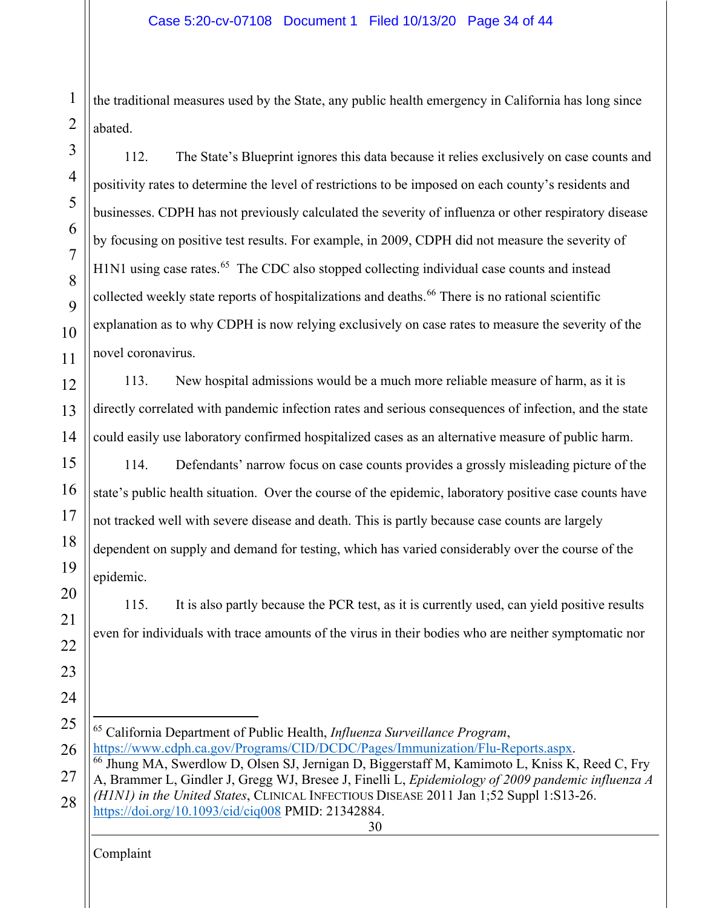the traditional measures used by the State, any public health emergency in California has long since abated.

112. The State's Blueprint ignores this data because it relies exclusively on case counts and positivity rates to determine the level of restrictions to be imposed on each county's residents and businesses. CDPH has not previously calculated the severity of influenza or other respiratory disease by focusing on positive test results. For example, in 2009, CDPH did not measure the severity of H1N1 using case rates.<sup>65</sup> The CDC also stopped collecting individual case counts and instead collected weekly state reports of hospitalizations and deaths.<sup>[66](#page-33-1)</sup> There is no rational scientific explanation as to why CDPH is now relying exclusively on case rates to measure the severity of the novel coronavirus.

113. New hospital admissions would be a much more reliable measure of harm, as it is directly correlated with pandemic infection rates and serious consequences of infection, and the state could easily use laboratory confirmed hospitalized cases as an alternative measure of public harm.

114. Defendants' narrow focus on case counts provides a grossly misleading picture of the state's public health situation. Over the course of the epidemic, laboratory positive case counts have not tracked well with severe disease and death. This is partly because case counts are largely dependent on supply and demand for testing, which has varied considerably over the course of the epidemic.

115. It is also partly because the PCR test, as it is currently used, can yield positive results even for individuals with trace amounts of the virus in their bodies who are neither symptomatic nor

<span id="page-33-1"></span><span id="page-33-0"></span>30 25 26 27 28 <sup>65</sup> California Department of Public Health, *Influenza Surveillance Program*, [https://www.cdph.ca.gov/Programs/CID/DCDC/Pages/Immunization/Flu-Reports.aspx.](https://www.cdph.ca.gov/Programs/CID/DCDC/Pages/Immunization/Flu-Reports.aspx) <sup>66</sup> Jhung MA, Swerdlow D, Olsen SJ, Jernigan D, Biggerstaff M, Kamimoto L, Kniss K, Reed C, Fry A, Brammer L, Gindler J, Gregg WJ, Bresee J, Finelli L, *Epidemiology of 2009 pandemic influenza A (H1N1) in the United States*, CLINICAL INFECTIOUS DISEASE 2011 Jan 1;52 Suppl 1:S13-26. <https://doi.org/10.1093/cid/ciq008> PMID: 21342884.

Complaint

1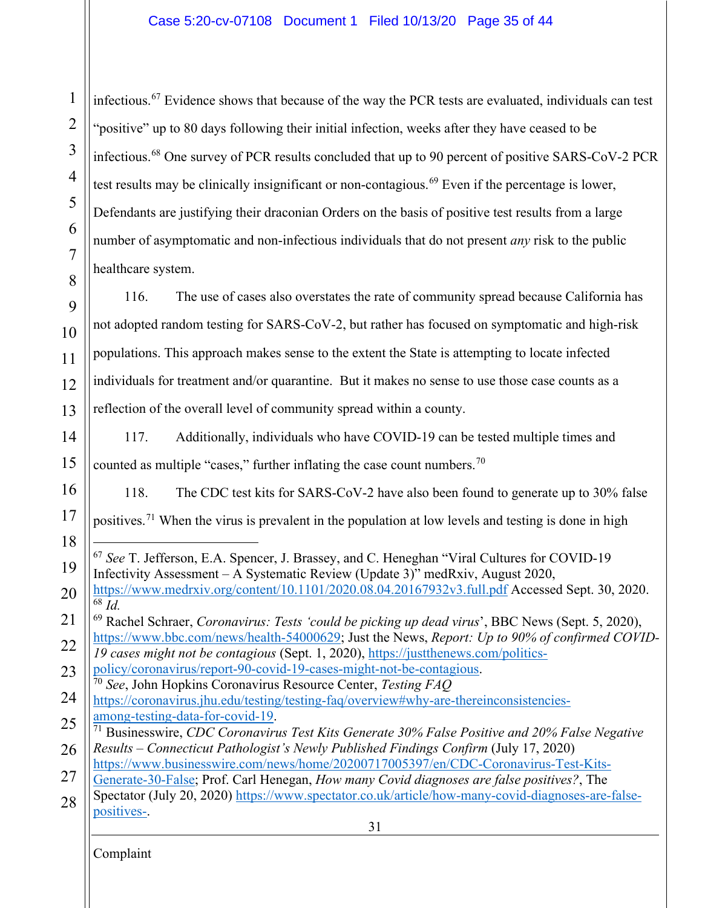1 2 3 4 5 6 7 8 infectious.<sup>[67](#page-34-0)</sup> Evidence shows that because of the way the PCR tests are evaluated, individuals can test "positive" up to 80 days following their initial infection, weeks after they have ceased to be infectious.[68](#page-34-1) One survey of PCR results concluded that up to 90 percent of positive SARS-CoV-2 PCR test results may be clinically insignificant or non-contagious.<sup>[69](#page-34-2)</sup> Even if the percentage is lower, Defendants are justifying their draconian Orders on the basis of positive test results from a large number of asymptomatic and non-infectious individuals that do not present *any* risk to the public healthcare system.

9 10 11 12 13 116. The use of cases also overstates the rate of community spread because California has not adopted random testing for SARS-CoV-2, but rather has focused on symptomatic and high-risk populations. This approach makes sense to the extent the State is attempting to locate infected individuals for treatment and/or quarantine. But it makes no sense to use those case counts as a reflection of the overall level of community spread within a county.

14 15 117. Additionally, individuals who have COVID-19 can be tested multiple times and counted as multiple "cases," further inflating the case count numbers.<sup>[70](#page-34-3)</sup>

118. The CDC test kits for SARS-CoV-2 have also been found to generate up to 30% false

17 positives.[71](#page-34-4) When the virus is prevalent in the population at low levels and testing is done in high

- <span id="page-34-0"></span>19 <sup>67</sup> *See* T. Jefferson, E.A. Spencer, J. Brassey, and C. Heneghan "Viral Cultures for COVID-19 Infectivity Assessment – A Systematic Review (Update 3)" medRxiv, August 2020,
- 20 <https://www.medrxiv.org/content/10.1101/2020.08.04.20167932v3.full.pdf> Accessed Sept. 30, 2020. <sup>68</sup> *Id.*
- <span id="page-34-2"></span><span id="page-34-1"></span>21 22 <sup>69</sup> Rachel Schraer, *Coronavirus: Tests 'could be picking up dead virus*', BBC News (Sept. 5, 2020), [https://www.bbc.com/news/health-54000629;](https://www.bbc.com/news/health-54000629) Just the News, *Report: Up to 90% of confirmed COVID-*

23 *19 cases might not be contagious* (Sept. 1, 2020), [https://justthenews.com/politics](https://justthenews.com/politics-policy/coronavirus/report-90-covid-19-cases-might-not-be-contagious)[policy/coronavirus/report-90-covid-19-cases-might-not-be-contagious.](https://justthenews.com/politics-policy/coronavirus/report-90-covid-19-cases-might-not-be-contagious)

- <span id="page-34-3"></span>24 <sup>70</sup> *See*, John Hopkins Coronavirus Resource Center, *Testing FAQ* <https://coronavirus.jhu.edu/testing/testing-faq/overview#why-are-thereinconsistencies->
- <span id="page-34-4"></span>25 26 [among-testing-data-for-covid-19.](https://coronavirus.jhu.edu/testing/testing-faq/overview#why-are-thereinconsistencies-) <sup>71</sup> Businesswire, *CDC Coronavirus Test Kits Generate 30% False Positive and 20% False Negative Results – Connecticut Pathologist's Newly Published Findings Confirm* (July 17, 2020)
- [https://www.businesswire.com/news/home/20200717005397/en/CDC-Coronavirus-Test-Kits-](https://www.businesswire.com/news/home/20200717005397/en/CDC-Coronavirus-Test-Kits-Generate-30-False)
- 27 28 [Generate-30-False;](https://www.businesswire.com/news/home/20200717005397/en/CDC-Coronavirus-Test-Kits-Generate-30-False) Prof. Carl Henegan, *How many Covid diagnoses are false positives?*, The Spectator (July 20, 2020) [https://www.spectator.co.uk/article/how-many-covid-diagnoses-are-false](https://www.spectator.co.uk/article/how-many-covid-diagnoses-are-false-positives-)
	- [positives-.](https://www.spectator.co.uk/article/how-many-covid-diagnoses-are-false-positives-)

31

Complaint

16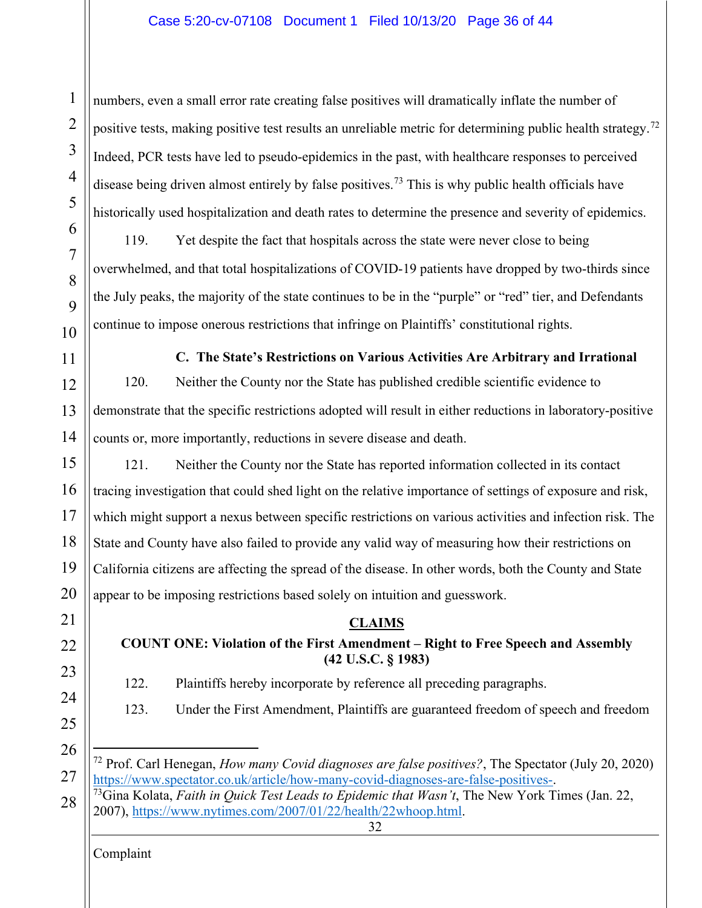### Case 5:20-cv-07108 Document 1 Filed 10/13/20 Page 36 of 44

numbers, even a small error rate creating false positives will dramatically inflate the number of positive tests, making positive test results an unreliable metric for determining public health strategy.<sup>[72](#page-35-3)</sup> Indeed, PCR tests have led to pseudo-epidemics in the past, with healthcare responses to perceived disease being driven almost entirely by false positives.<sup>[73](#page-35-4)</sup> This is why public health officials have historically used hospitalization and death rates to determine the presence and severity of epidemics.

119. Yet despite the fact that hospitals across the state were never close to being overwhelmed, and that total hospitalizations of COVID-19 patients have dropped by two-thirds since the July peaks, the majority of the state continues to be in the "purple" or "red" tier, and Defendants continue to impose onerous restrictions that infringe on Plaintiffs' constitutional rights.

<span id="page-35-0"></span>**C. The State's Restrictions on Various Activities Are Arbitrary and Irrational** 120. Neither the County nor the State has published credible scientific evidence to demonstrate that the specific restrictions adopted will result in either reductions in laboratory-positive counts or, more importantly, reductions in severe disease and death.

121. Neither the County nor the State has reported information collected in its contact tracing investigation that could shed light on the relative importance of settings of exposure and risk, which might support a nexus between specific restrictions on various activities and infection risk. The State and County have also failed to provide any valid way of measuring how their restrictions on California citizens are affecting the spread of the disease. In other words, both the County and State appear to be imposing restrictions based solely on intuition and guesswork.

# <span id="page-35-2"></span><span id="page-35-1"></span>**CLAIMS COUNT ONE: Violation of the First Amendment – Right to Free Speech and Assembly (42 U.S.C. § 1983)**

- 122. Plaintiffs hereby incorporate by reference all preceding paragraphs.
- 123. Under the First Amendment, Plaintiffs are guaranteed freedom of speech and freedom
- 

<span id="page-35-3"></span>27

Complaint

1

2

3

4

<sup>72</sup> Prof. Carl Henegan, *How many Covid diagnoses are false positives?*, The Spectator (July 20, 2020) [https://www.spectator.co.uk/article/how-many-covid-diagnoses-are-false-positives-.](https://www.spectator.co.uk/article/how-many-covid-diagnoses-are-false-positives-) 73Gina Kolata, *Faith in Quick Test Leads to Epidemic that Wasn't*, The New York Times (Jan. 22,

<span id="page-35-4"></span><sup>32</sup> 28 2007), [https://www.nytimes.com/2007/01/22/health/22whoop.html.](https://www.nytimes.com/2007/01/22/health/22whoop.html)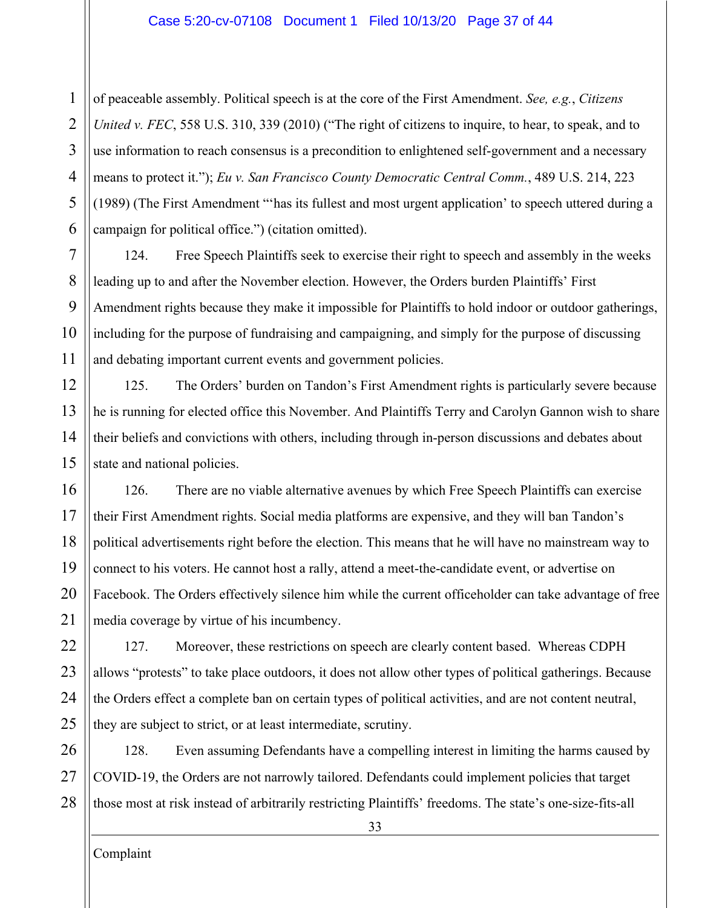1 2 3 4 5 6 of peaceable assembly. Political speech is at the core of the First Amendment. *See, e.g.*, *Citizens United v. FEC*, 558 U.S. 310, 339 (2010) ("The right of citizens to inquire, to hear, to speak, and to use information to reach consensus is a precondition to enlightened self-government and a necessary means to protect it."); *Eu v. San Francisco County Democratic Central Comm.*, 489 U.S. 214, 223 (1989) (The First Amendment "'has its fullest and most urgent application' to speech uttered during a campaign for political office.") (citation omitted).

7 8 9 10 11 124. Free Speech Plaintiffs seek to exercise their right to speech and assembly in the weeks leading up to and after the November election. However, the Orders burden Plaintiffs' First Amendment rights because they make it impossible for Plaintiffs to hold indoor or outdoor gatherings, including for the purpose of fundraising and campaigning, and simply for the purpose of discussing and debating important current events and government policies.

12 13 14 15 125. The Orders' burden on Tandon's First Amendment rights is particularly severe because he is running for elected office this November. And Plaintiffs Terry and Carolyn Gannon wish to share their beliefs and convictions with others, including through in-person discussions and debates about state and national policies.

16 17 18 19 20 21 126. There are no viable alternative avenues by which Free Speech Plaintiffs can exercise their First Amendment rights. Social media platforms are expensive, and they will ban Tandon's political advertisements right before the election. This means that he will have no mainstream way to connect to his voters. He cannot host a rally, attend a meet-the-candidate event, or advertise on Facebook. The Orders effectively silence him while the current officeholder can take advantage of free media coverage by virtue of his incumbency.

22 23 24 25 127. Moreover, these restrictions on speech are clearly content based. Whereas CDPH allows "protests" to take place outdoors, it does not allow other types of political gatherings. Because the Orders effect a complete ban on certain types of political activities, and are not content neutral, they are subject to strict, or at least intermediate, scrutiny.

26 27 28 128. Even assuming Defendants have a compelling interest in limiting the harms caused by COVID-19, the Orders are not narrowly tailored. Defendants could implement policies that target those most at risk instead of arbitrarily restricting Plaintiffs' freedoms. The state's one-size-fits-all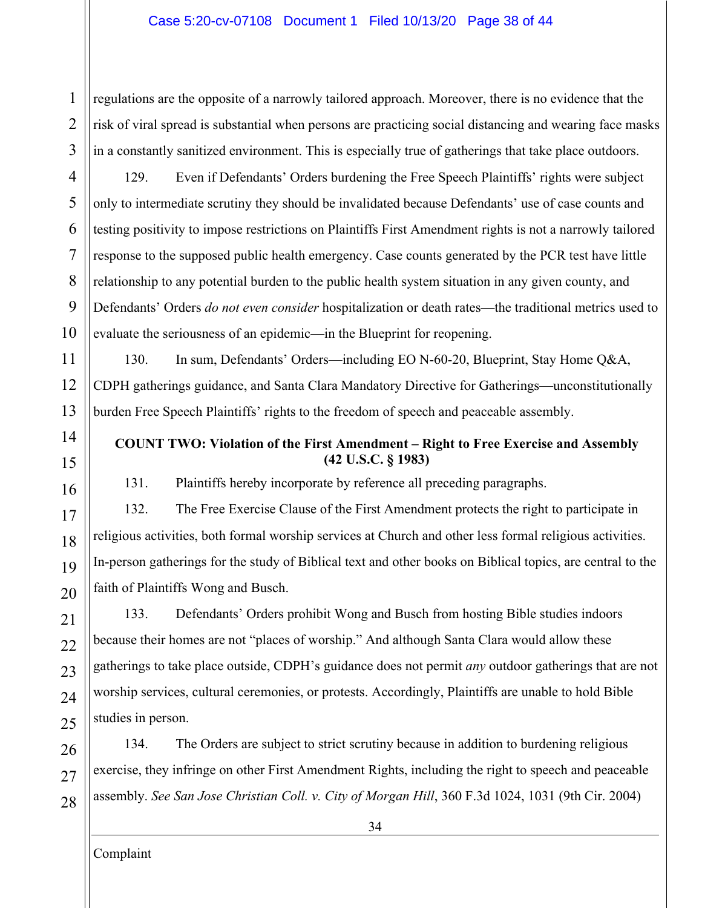#### Case 5:20-cv-07108 Document 1 Filed 10/13/20 Page 38 of 44

1 2 3 regulations are the opposite of a narrowly tailored approach. Moreover, there is no evidence that the risk of viral spread is substantial when persons are practicing social distancing and wearing face masks in a constantly sanitized environment. This is especially true of gatherings that take place outdoors.

4 5 6 129. Even if Defendants' Orders burdening the Free Speech Plaintiffs' rights were subject only to intermediate scrutiny they should be invalidated because Defendants' use of case counts and testing positivity to impose restrictions on Plaintiffs First Amendment rights is not a narrowly tailored response to the supposed public health emergency. Case counts generated by the PCR test have little relationship to any potential burden to the public health system situation in any given county, and Defendants' Orders *do not even consider* hospitalization or death rates—the traditional metrics used to evaluate the seriousness of an epidemic—in the Blueprint for reopening.

130. In sum, Defendants' Orders—including EO N-60-20, Blueprint, Stay Home Q&A, CDPH gatherings guidance, and Santa Clara Mandatory Directive for Gatherings—unconstitutionally burden Free Speech Plaintiffs' rights to the freedom of speech and peaceable assembly.

## <span id="page-37-0"></span>**COUNT TWO: Violation of the First Amendment – Right to Free Exercise and Assembly (42 U.S.C. § 1983)**

131. Plaintiffs hereby incorporate by reference all preceding paragraphs.

132. The Free Exercise Clause of the First Amendment protects the right to participate in religious activities, both formal worship services at Church and other less formal religious activities. In-person gatherings for the study of Biblical text and other books on Biblical topics, are central to the faith of Plaintiffs Wong and Busch.

133. Defendants' Orders prohibit Wong and Busch from hosting Bible studies indoors because their homes are not "places of worship." And although Santa Clara would allow these gatherings to take place outside, CDPH's guidance does not permit *any* outdoor gatherings that are not worship services, cultural ceremonies, or protests. Accordingly, Plaintiffs are unable to hold Bible studies in person.

134. The Orders are subject to strict scrutiny because in addition to burdening religious exercise, they infringe on other First Amendment Rights, including the right to speech and peaceable assembly. *See San Jose Christian Coll. v. City of Morgan Hill*, 360 F.3d 1024, 1031 (9th Cir. 2004)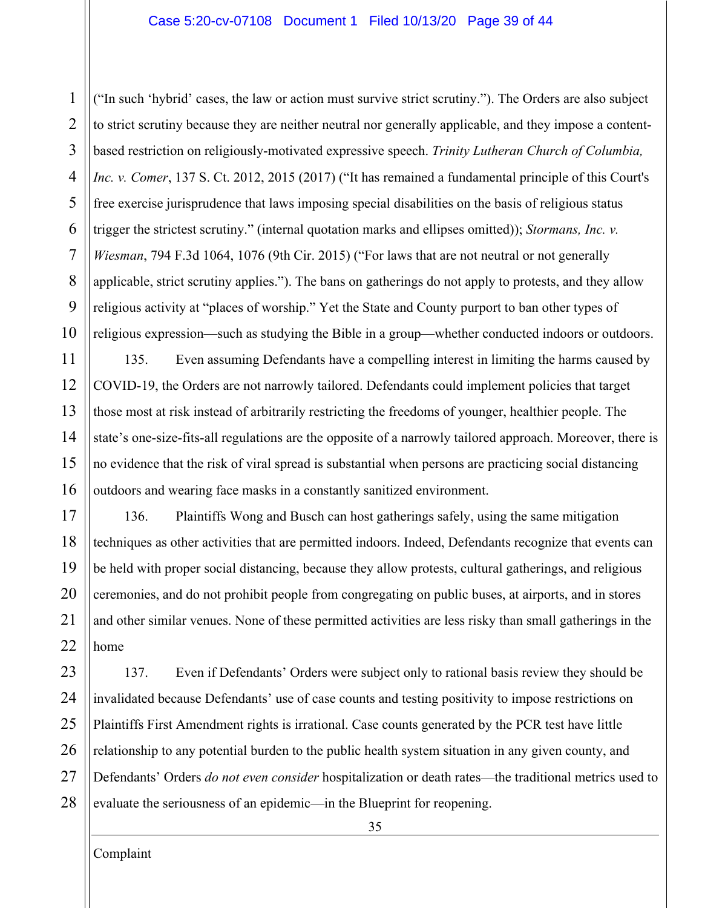#### Case 5:20-cv-07108 Document 1 Filed 10/13/20 Page 39 of 44

1 2 3 4 5 6 7 8 9 10 ("In such 'hybrid' cases, the law or action must survive strict scrutiny."). The Orders are also subject to strict scrutiny because they are neither neutral nor generally applicable, and they impose a contentbased restriction on religiously-motivated expressive speech. *Trinity Lutheran Church of Columbia, Inc. v. Comer*, 137 S. Ct. 2012, 2015 (2017) ("It has remained a fundamental principle of this Court's free exercise jurisprudence that laws imposing special disabilities on the basis of religious status trigger the strictest scrutiny." (internal quotation marks and ellipses omitted)); *Stormans, Inc. v. Wiesman*, 794 F.3d 1064, 1076 (9th Cir. 2015) ("For laws that are not neutral or not generally applicable, strict scrutiny applies."). The bans on gatherings do not apply to protests, and they allow religious activity at "places of worship." Yet the State and County purport to ban other types of religious expression—such as studying the Bible in a group—whether conducted indoors or outdoors.

11 12 13 14 15 16 135. Even assuming Defendants have a compelling interest in limiting the harms caused by COVID-19, the Orders are not narrowly tailored. Defendants could implement policies that target those most at risk instead of arbitrarily restricting the freedoms of younger, healthier people. The state's one-size-fits-all regulations are the opposite of a narrowly tailored approach. Moreover, there is no evidence that the risk of viral spread is substantial when persons are practicing social distancing outdoors and wearing face masks in a constantly sanitized environment.

17 18 19 20 21 22 136. Plaintiffs Wong and Busch can host gatherings safely, using the same mitigation techniques as other activities that are permitted indoors. Indeed, Defendants recognize that events can be held with proper social distancing, because they allow protests, cultural gatherings, and religious ceremonies, and do not prohibit people from congregating on public buses, at airports, and in stores and other similar venues. None of these permitted activities are less risky than small gatherings in the home

23 24 25 26 27 28 137. Even if Defendants' Orders were subject only to rational basis review they should be invalidated because Defendants' use of case counts and testing positivity to impose restrictions on Plaintiffs First Amendment rights is irrational. Case counts generated by the PCR test have little relationship to any potential burden to the public health system situation in any given county, and Defendants' Orders *do not even consider* hospitalization or death rates—the traditional metrics used to evaluate the seriousness of an epidemic—in the Blueprint for reopening.

35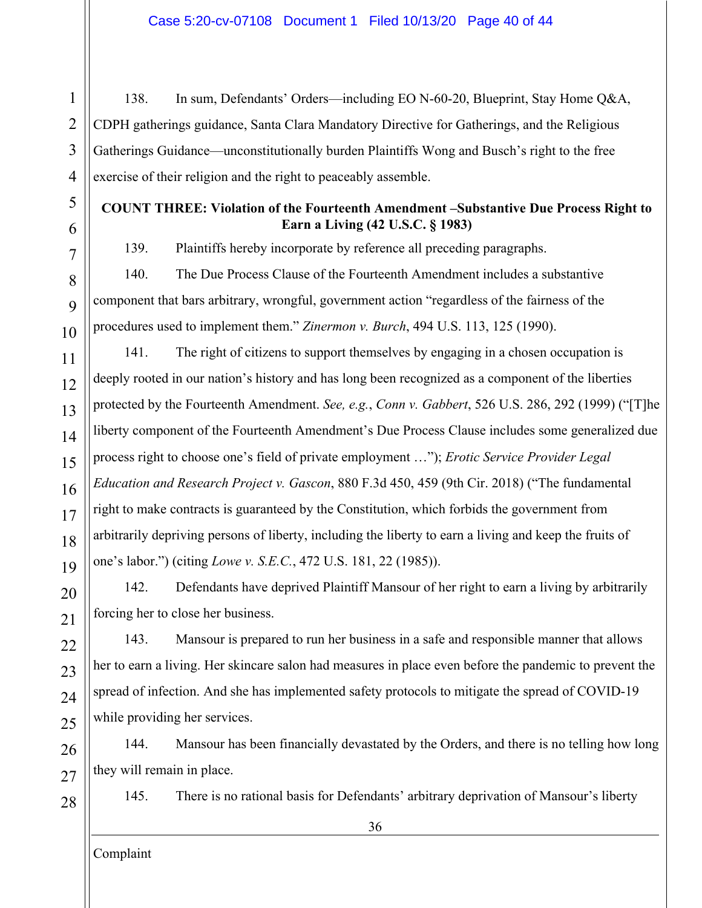138. In sum, Defendants' Orders—including EO N-60-20, Blueprint, Stay Home Q&A, CDPH gatherings guidance, Santa Clara Mandatory Directive for Gatherings, and the Religious Gatherings Guidance—unconstitutionally burden Plaintiffs Wong and Busch's right to the free exercise of their religion and the right to peaceably assemble.

# <span id="page-39-0"></span>**COUNT THREE: Violation of the Fourteenth Amendment –Substantive Due Process Right to Earn a Living (42 U.S.C. § 1983)**

139. Plaintiffs hereby incorporate by reference all preceding paragraphs.

140. The Due Process Clause of the Fourteenth Amendment includes a substantive component that bars arbitrary, wrongful, government action "regardless of the fairness of the procedures used to implement them." *Zinermon v. Burch*, 494 U.S. 113, 125 (1990).

141. The right of citizens to support themselves by engaging in a chosen occupation is deeply rooted in our nation's history and has long been recognized as a component of the liberties protected by the Fourteenth Amendment. *See, e.g.*, *Conn v. Gabbert*, 526 U.S. 286, 292 (1999) ("[T]he liberty component of the Fourteenth Amendment's Due Process Clause includes some generalized due process right to choose one's field of private employment …"); *Erotic Service Provider Legal Education and Research Project v. Gascon*, 880 F.3d 450, 459 (9th Cir. 2018) ("The fundamental right to make contracts is guaranteed by the Constitution, which forbids the government from arbitrarily depriving persons of liberty, including the liberty to earn a living and keep the fruits of one's labor.") (citing *Lowe v. S.E.C.*, 472 U.S. 181, 22 (1985)).

142. Defendants have deprived Plaintiff Mansour of her right to earn a living by arbitrarily forcing her to close her business.

143. Mansour is prepared to run her business in a safe and responsible manner that allows her to earn a living. Her skincare salon had measures in place even before the pandemic to prevent the spread of infection. And she has implemented safety protocols to mitigate the spread of COVID-19 while providing her services.

144. Mansour has been financially devastated by the Orders, and there is no telling how long they will remain in place.

145. There is no rational basis for Defendants' arbitrary deprivation of Mansour's liberty

Complaint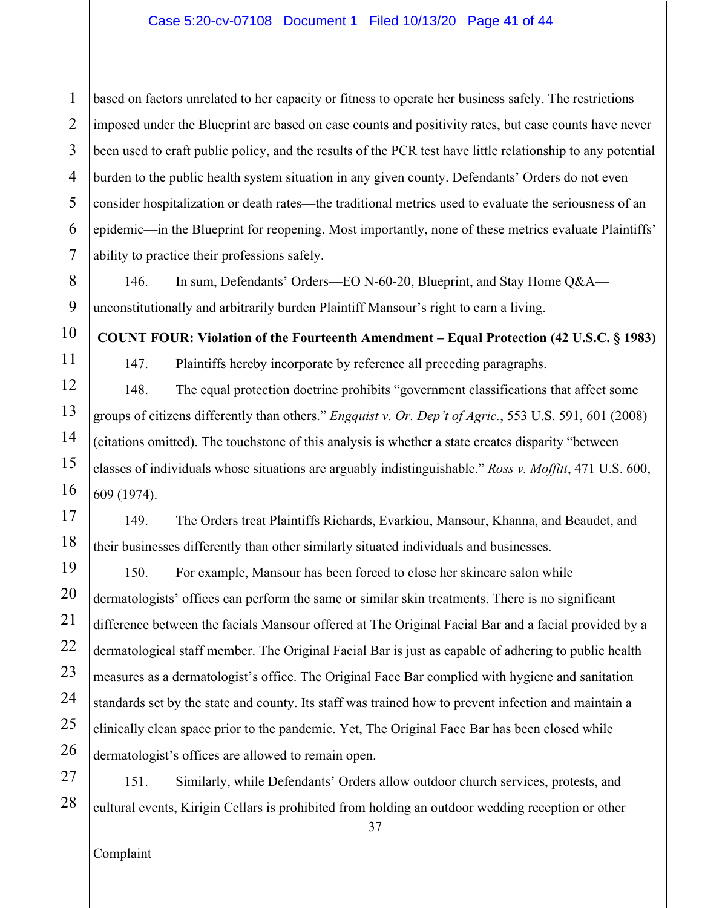2 3 4 5 6 7 based on factors unrelated to her capacity or fitness to operate her business safely. The restrictions imposed under the Blueprint are based on case counts and positivity rates, but case counts have never been used to craft public policy, and the results of the PCR test have little relationship to any potential burden to the public health system situation in any given county. Defendants' Orders do not even consider hospitalization or death rates—the traditional metrics used to evaluate the seriousness of an epidemic—in the Blueprint for reopening. Most importantly, none of these metrics evaluate Plaintiffs' ability to practice their professions safely.

146. In sum, Defendants' Orders—EO N-60-20, Blueprint, and Stay Home Q&A unconstitutionally and arbitrarily burden Plaintiff Mansour's right to earn a living.

<span id="page-40-0"></span>**COUNT FOUR: Violation of the Fourteenth Amendment – Equal Protection (42 U.S.C. § 1983)**

147. Plaintiffs hereby incorporate by reference all preceding paragraphs.

148. The equal protection doctrine prohibits "government classifications that affect some groups of citizens differently than others." *Engquist v. Or. Dep't of Agric.*, 553 U.S. 591, 601 (2008) (citations omitted). The touchstone of this analysis is whether a state creates disparity "between classes of individuals whose situations are arguably indistinguishable." *Ross v. Moffitt*, 471 U.S. 600, 609 (1974).

149. The Orders treat Plaintiffs Richards, Evarkiou, Mansour, Khanna, and Beaudet, and their businesses differently than other similarly situated individuals and businesses.

19 20 21 22 23 24 25 26 150. For example, Mansour has been forced to close her skincare salon while dermatologists' offices can perform the same or similar skin treatments. There is no significant difference between the facials Mansour offered at The Original Facial Bar and a facial provided by a dermatological staff member. The Original Facial Bar is just as capable of adhering to public health measures as a dermatologist's office. The Original Face Bar complied with hygiene and sanitation standards set by the state and county. Its staff was trained how to prevent infection and maintain a clinically clean space prior to the pandemic. Yet, The Original Face Bar has been closed while dermatologist's offices are allowed to remain open.

27 28 151. Similarly, while Defendants' Orders allow outdoor church services, protests, and cultural events, Kirigin Cellars is prohibited from holding an outdoor wedding reception or other

37

1

8

9

10

11

12

13

14

15

16

17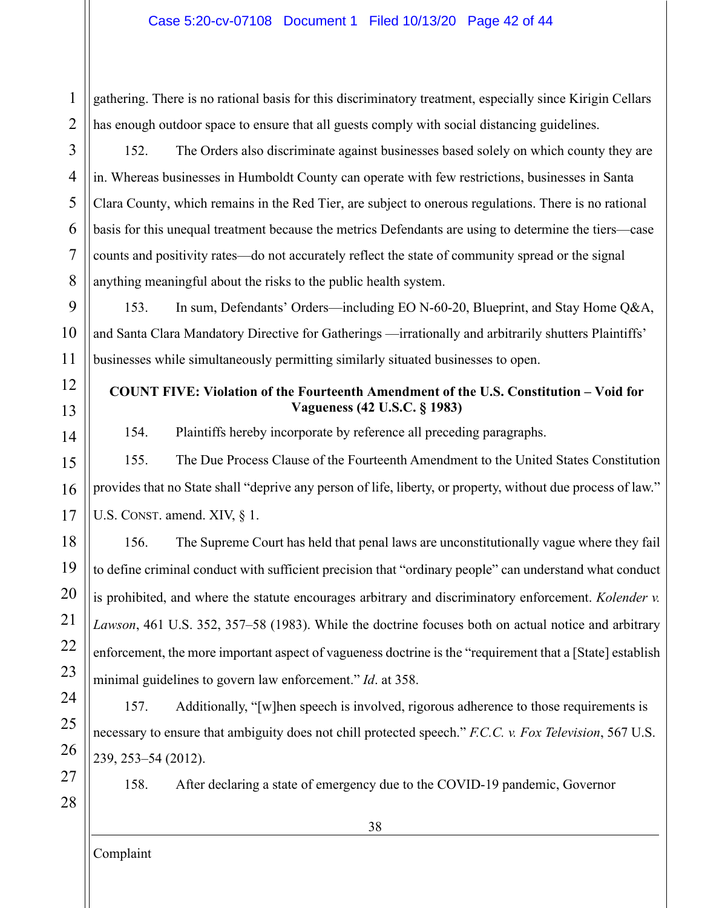gathering. There is no rational basis for this discriminatory treatment, especially since Kirigin Cellars has enough outdoor space to ensure that all guests comply with social distancing guidelines.

3

4

5

6

7

8

12

13

14

1

2

152. The Orders also discriminate against businesses based solely on which county they are in. Whereas businesses in Humboldt County can operate with few restrictions, businesses in Santa Clara County, which remains in the Red Tier, are subject to onerous regulations. There is no rational basis for this unequal treatment because the metrics Defendants are using to determine the tiers—case counts and positivity rates—do not accurately reflect the state of community spread or the signal anything meaningful about the risks to the public health system.

9 10 11 153. In sum, Defendants' Orders—including EO N-60-20, Blueprint, and Stay Home Q&A, and Santa Clara Mandatory Directive for Gatherings —irrationally and arbitrarily shutters Plaintiffs' businesses while simultaneously permitting similarly situated businesses to open.

# <span id="page-41-0"></span>**COUNT FIVE: Violation of the Fourteenth Amendment of the U.S. Constitution – Void for Vagueness (42 U.S.C. § 1983)**

154. Plaintiffs hereby incorporate by reference all preceding paragraphs.

15 16 17 155. The Due Process Clause of the Fourteenth Amendment to the United States Constitution provides that no State shall "deprive any person of life, liberty, or property, without due process of law." U.S. CONST. amend. XIV, § 1.

18 19 20 21 22 23 156. The Supreme Court has held that penal laws are unconstitutionally vague where they fail to define criminal conduct with sufficient precision that "ordinary people" can understand what conduct is prohibited, and where the statute encourages arbitrary and discriminatory enforcement. *Kolender v. Lawson*, 461 U.S. 352, 357–58 (1983). While the doctrine focuses both on actual notice and arbitrary enforcement, the more important aspect of vagueness doctrine is the "requirement that a [State] establish minimal guidelines to govern law enforcement." *Id*. at 358.

24 25 26 157. Additionally, "[w]hen speech is involved, rigorous adherence to those requirements is necessary to ensure that ambiguity does not chill protected speech." *F.C.C. v. Fox Television*, 567 U.S. 239, 253–54 (2012).

27

28

158. After declaring a state of emergency due to the COVID-19 pandemic, Governor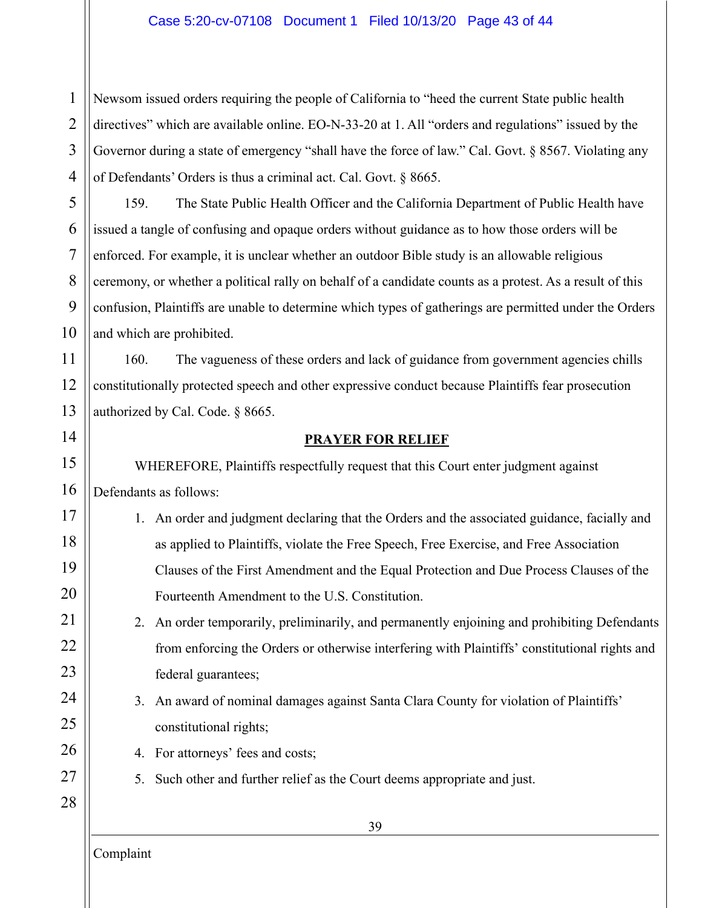#### Case 5:20-cv-07108 Document 1 Filed 10/13/20 Page 43 of 44

1 2 3 4 Newsom issued orders requiring the people of California to "heed the current State public health directives" which are available online. EO-N-33-20 at 1. All "orders and regulations" issued by the Governor during a state of emergency "shall have the force of law." Cal. Govt. § 8567. Violating any of Defendants' Orders is thus a criminal act. Cal. Govt. § 8665.

5 6 8 9 10 159. The State Public Health Officer and the California Department of Public Health have issued a tangle of confusing and opaque orders without guidance as to how those orders will be enforced. For example, it is unclear whether an outdoor Bible study is an allowable religious ceremony, or whether a political rally on behalf of a candidate counts as a protest. As a result of this confusion, Plaintiffs are unable to determine which types of gatherings are permitted under the Orders and which are prohibited.

11 12 13 160. The vagueness of these orders and lack of guidance from government agencies chills constitutionally protected speech and other expressive conduct because Plaintiffs fear prosecution authorized by Cal. Code. § 8665.

# <span id="page-42-0"></span>14 15

16

17

18

19

20

21

22

23

24

25

26

27

28

7

#### **PRAYER FOR RELIEF**

WHEREFORE, Plaintiffs respectfully request that this Court enter judgment against Defendants as follows:

- 1. An order and judgment declaring that the Orders and the associated guidance, facially and as applied to Plaintiffs, violate the Free Speech, Free Exercise, and Free Association Clauses of the First Amendment and the Equal Protection and Due Process Clauses of the Fourteenth Amendment to the U.S. Constitution.
- 2. An order temporarily, preliminarily, and permanently enjoining and prohibiting Defendants from enforcing the Orders or otherwise interfering with Plaintiffs' constitutional rights and federal guarantees;
- 3. An award of nominal damages against Santa Clara County for violation of Plaintiffs' constitutional rights;
- 4. For attorneys' fees and costs;
- 5. Such other and further relief as the Court deems appropriate and just.